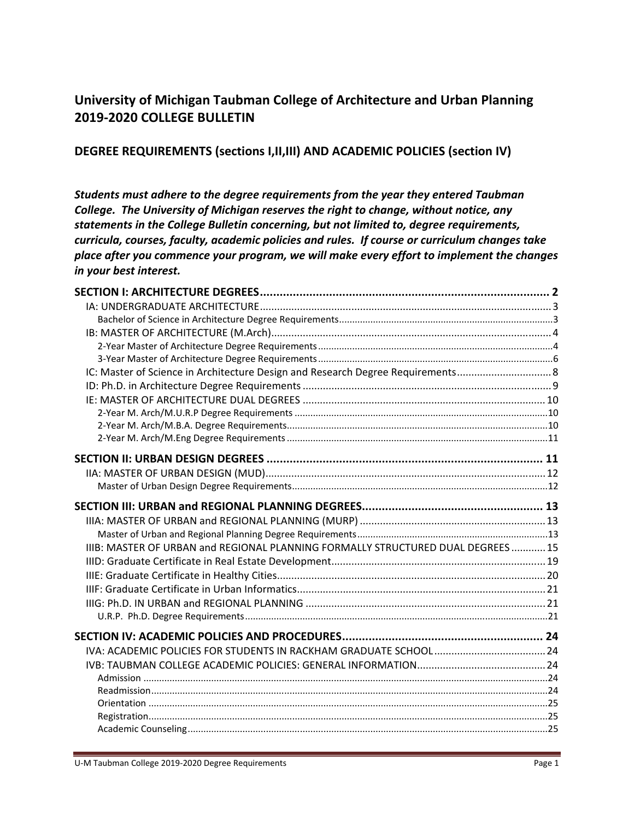# **University of Michigan Taubman College of Architecture and Urban Planning 2019‐2020 COLLEGE BULLETIN**

## **DEGREE REQUIREMENTS (sections I,II,III) AND ACADEMIC POLICIES (section IV)**

*Students must adhere to the degree requirements from the year they entered Taubman College. The University of Michigan reserves the right to change, without notice, any statements in the College Bulletin concerning, but not limited to, degree requirements, curricula, courses, faculty, academic policies and rules. If course or curriculum changes take place after you commence your program, we will make every effort to implement the changes in your best interest.* 

| IIIB: MASTER OF URBAN and REGIONAL PLANNING FORMALLY STRUCTURED DUAL DEGREES 15 |  |
|---------------------------------------------------------------------------------|--|
|                                                                                 |  |
|                                                                                 |  |
|                                                                                 |  |
|                                                                                 |  |
|                                                                                 |  |
|                                                                                 |  |
|                                                                                 |  |
|                                                                                 |  |
|                                                                                 |  |
|                                                                                 |  |
|                                                                                 |  |
|                                                                                 |  |
|                                                                                 |  |
|                                                                                 |  |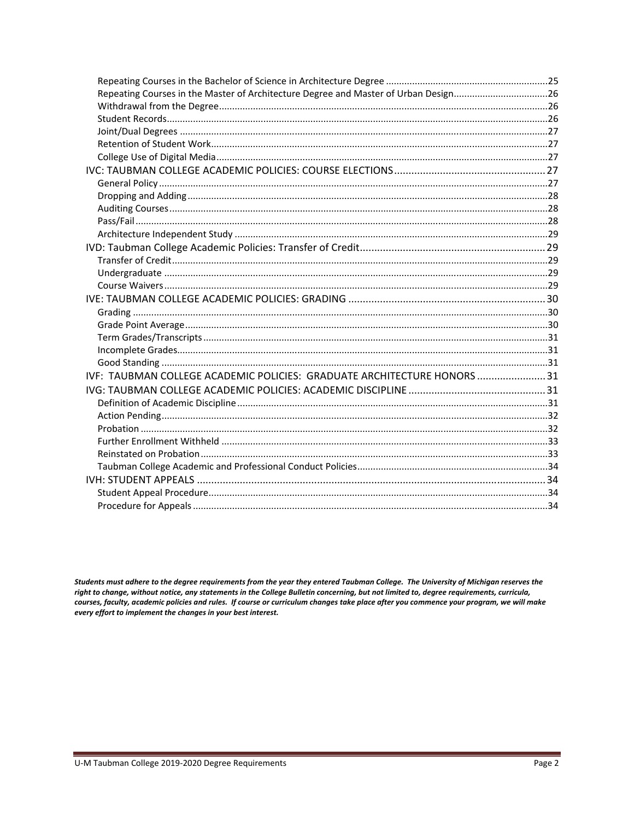| Repeating Courses in the Master of Architecture Degree and Master of Urban Design26 |  |
|-------------------------------------------------------------------------------------|--|
|                                                                                     |  |
|                                                                                     |  |
|                                                                                     |  |
|                                                                                     |  |
|                                                                                     |  |
|                                                                                     |  |
|                                                                                     |  |
|                                                                                     |  |
|                                                                                     |  |
|                                                                                     |  |
|                                                                                     |  |
|                                                                                     |  |
|                                                                                     |  |
|                                                                                     |  |
|                                                                                     |  |
|                                                                                     |  |
|                                                                                     |  |
|                                                                                     |  |
|                                                                                     |  |
|                                                                                     |  |
|                                                                                     |  |
| IVF: TAUBMAN COLLEGE ACADEMIC POLICIES: GRADUATE ARCHITECTURE HONORS  31            |  |
|                                                                                     |  |
|                                                                                     |  |
|                                                                                     |  |
|                                                                                     |  |
|                                                                                     |  |
|                                                                                     |  |
|                                                                                     |  |
|                                                                                     |  |
|                                                                                     |  |
|                                                                                     |  |

Students must adhere to the degree requirements from the year they entered Taubman College. The University of Michigan reserves the right to change, without notice, any statements in the College Bulletin concerning, but not limited to, degree requirements, curricula, courses, faculty, academic policies and rules. If course or curriculum changes take place after you commence your program, we will make every effort to implement the changes in your best interest.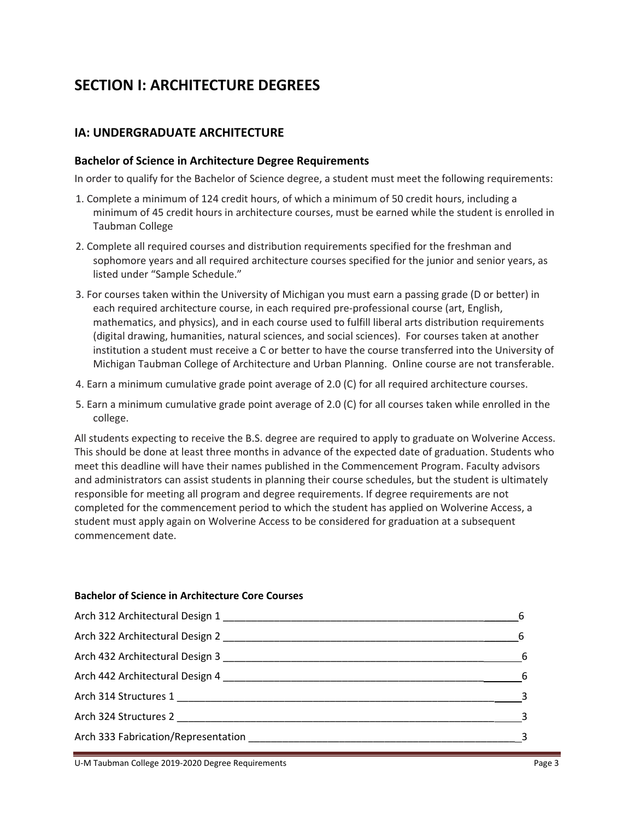# **SECTION I: ARCHITECTURE DEGREES**

## **IA: UNDERGRADUATE ARCHITECTURE**

#### **Bachelor of Science in Architecture Degree Requirements**

In order to qualify for the Bachelor of Science degree, a student must meet the following requirements:

- 1. Complete a minimum of 124 credit hours, of which a minimum of 50 credit hours, including a minimum of 45 credit hours in architecture courses, must be earned while the student is enrolled in Taubman College
- 2. Complete all required courses and distribution requirements specified for the freshman and sophomore years and all required architecture courses specified for the junior and senior years, as listed under "Sample Schedule."
- 3. For courses taken within the University of Michigan you must earn a passing grade (D or better) in each required architecture course, in each required pre‐professional course (art, English, mathematics, and physics), and in each course used to fulfill liberal arts distribution requirements (digital drawing, humanities, natural sciences, and social sciences). For courses taken at another institution a student must receive a C or better to have the course transferred into the University of Michigan Taubman College of Architecture and Urban Planning. Online course are not transferable.
- 4. Earn a minimum cumulative grade point average of 2.0 (C) for all required architecture courses.
- 5. Earn a minimum cumulative grade point average of 2.0 (C) for all courses taken while enrolled in the college.

All students expecting to receive the B.S. degree are required to apply to graduate on Wolverine Access. This should be done at least three months in advance of the expected date of graduation. Students who meet this deadline will have their names published in the Commencement Program. Faculty advisors and administrators can assist students in planning their course schedules, but the student is ultimately responsible for meeting all program and degree requirements. If degree requirements are not completed for the commencement period to which the student has applied on Wolverine Access, a student must apply again on Wolverine Access to be considered for graduation at a subsequent commencement date.

#### **Bachelor of Science in Architecture Core Courses**

| Arch 442 Architectural Design 4                                                                                                                                                                                               | $6^{\circ}$ |
|-------------------------------------------------------------------------------------------------------------------------------------------------------------------------------------------------------------------------------|-------------|
| Arch 314 Structures 1                                                                                                                                                                                                         |             |
| Arch 324 Structures 2                                                                                                                                                                                                         |             |
| Arch 333 Fabrication/Representation entrance and all the state of the state of the state of the state of the state of the state of the state of the state of the state of the state of the state of the state of the state of |             |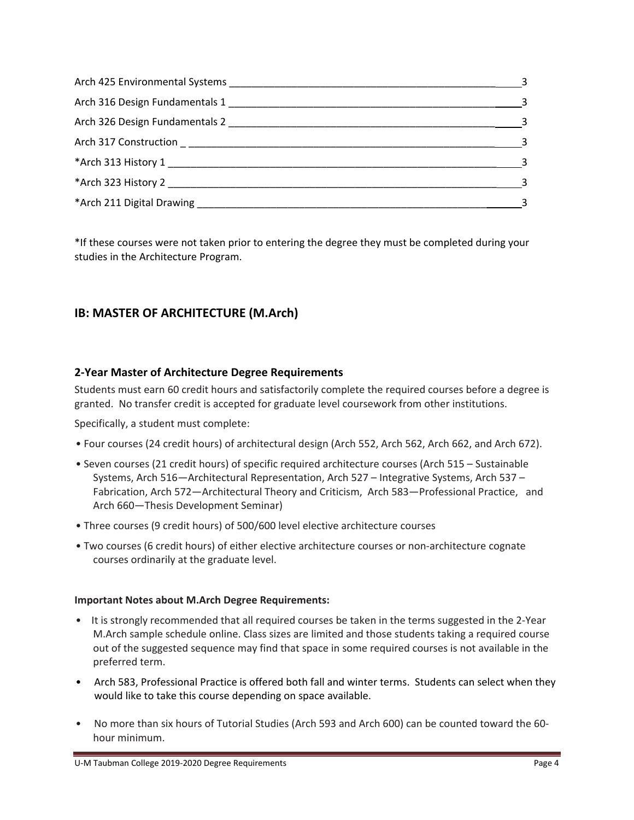| $\sim$ 3 |
|----------|
|          |
| $\sim$ 3 |
|          |
| $\sim$ 3 |
|          |
|          |

\*If these courses were not taken prior to entering the degree they must be completed during your studies in the Architecture Program.

## **IB: MASTER OF ARCHITECTURE (M.Arch)**

## **2‐Year Master of Architecture Degree Requirements**

Students must earn 60 credit hours and satisfactorily complete the required courses before a degree is granted. No transfer credit is accepted for graduate level coursework from other institutions.

Specifically, a student must complete:

- Four courses (24 credit hours) of architectural design (Arch 552, Arch 562, Arch 662, and Arch 672).
- Seven courses (21 credit hours) of specific required architecture courses (Arch 515 Sustainable Systems, Arch 516—Architectural Representation, Arch 527 – Integrative Systems, Arch 537 – Fabrication, Arch 572—Architectural Theory and Criticism, Arch 583—Professional Practice, and Arch 660—Thesis Development Seminar)
- Three courses (9 credit hours) of 500/600 level elective architecture courses
- Two courses (6 credit hours) of either elective architecture courses or non‐architecture cognate courses ordinarily at the graduate level.

#### **Important Notes about M.Arch Degree Requirements:**

- It is strongly recommended that all required courses be taken in the terms suggested in the 2-Year M.Arch sample schedule online. Class sizes are limited and those students taking a required course out of the suggested sequence may find that space in some required courses is not available in the preferred term.
- Arch 583, Professional Practice is offered both fall and winter terms. Students can select when they would like to take this course depending on space available.
- No more than six hours of Tutorial Studies (Arch 593 and Arch 600) can be counted toward the 60hour minimum.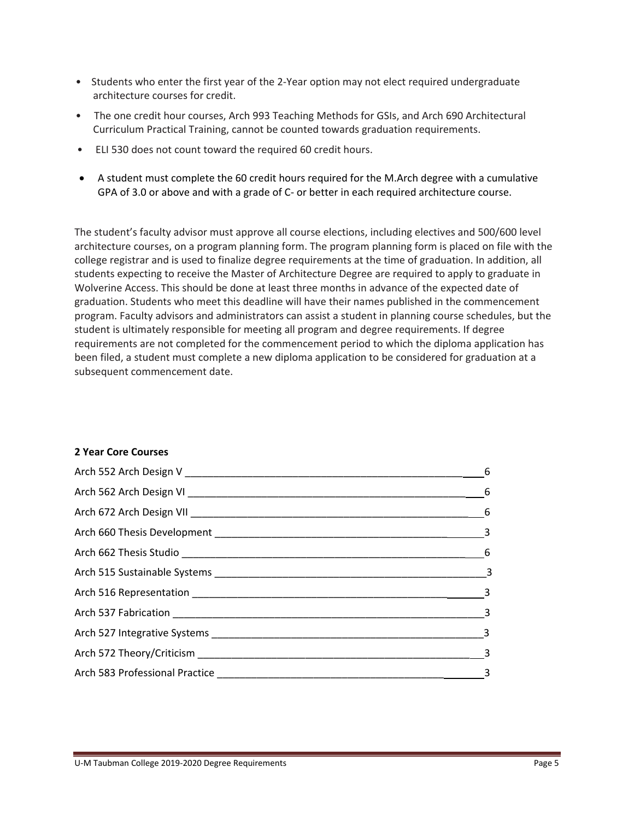- Students who enter the first year of the 2-Year option may not elect required undergraduate architecture courses for credit.
- The one credit hour courses, Arch 993 Teaching Methods for GSIs, and Arch 690 Architectural Curriculum Practical Training, cannot be counted towards graduation requirements.
- ELI 530 does not count toward the required 60 credit hours.
- A student must complete the 60 credit hours required for the M.Arch degree with a cumulative GPA of 3.0 or above and with a grade of C- or better in each required architecture course.

The student's faculty advisor must approve all course elections, including electives and 500/600 level architecture courses, on a program planning form. The program planning form is placed on file with the college registrar and is used to finalize degree requirements at the time of graduation. In addition, all students expecting to receive the Master of Architecture Degree are required to apply to graduate in Wolverine Access. This should be done at least three months in advance of the expected date of graduation. Students who meet this deadline will have their names published in the commencement program. Faculty advisors and administrators can assist a student in planning course schedules, but the student is ultimately responsible for meeting all program and degree requirements. If degree requirements are not completed for the commencement period to which the diploma application has been filed, a student must complete a new diploma application to be considered for graduation at a subsequent commencement date.

#### **2 Year Core Courses**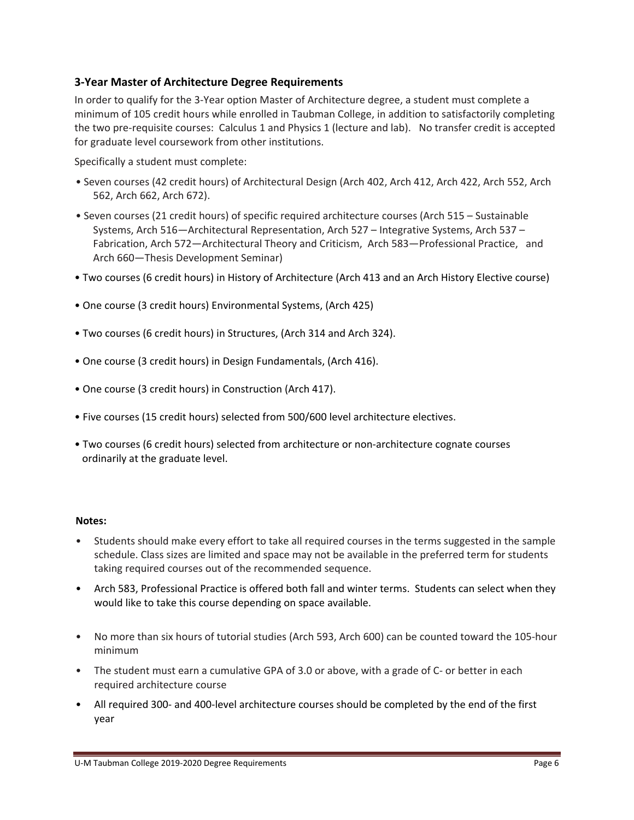## **3‐Year Master of Architecture Degree Requirements**

In order to qualify for the 3‐Year option Master of Architecture degree, a student must complete a minimum of 105 credit hours while enrolled in Taubman College, in addition to satisfactorily completing the two pre‐requisite courses: Calculus 1 and Physics 1 (lecture and lab). No transfer credit is accepted for graduate level coursework from other institutions.

Specifically a student must complete:

- Seven courses (42 credit hours) of Architectural Design (Arch 402, Arch 412, Arch 422, Arch 552, Arch 562, Arch 662, Arch 672).
- Seven courses (21 credit hours) of specific required architecture courses (Arch 515 Sustainable Systems, Arch 516—Architectural Representation, Arch 527 – Integrative Systems, Arch 537 – Fabrication, Arch 572—Architectural Theory and Criticism, Arch 583—Professional Practice, and Arch 660—Thesis Development Seminar)
- Two courses (6 credit hours) in History of Architecture (Arch 413 and an Arch History Elective course)
- One course (3 credit hours) Environmental Systems, (Arch 425)
- Two courses (6 credit hours) in Structures, (Arch 314 and Arch 324).
- One course (3 credit hours) in Design Fundamentals, (Arch 416).
- One course (3 credit hours) in Construction (Arch 417).
- Five courses (15 credit hours) selected from 500/600 level architecture electives.
- Two courses (6 credit hours) selected from architecture or non-architecture cognate courses ordinarily at the graduate level.

#### **Notes:**

- Students should make every effort to take all required courses in the terms suggested in the sample schedule. Class sizes are limited and space may not be available in the preferred term for students taking required courses out of the recommended sequence.
- Arch 583, Professional Practice is offered both fall and winter terms. Students can select when they would like to take this course depending on space available.
- No more than six hours of tutorial studies (Arch 593, Arch 600) can be counted toward the 105-hour minimum
- The student must earn a cumulative GPA of 3.0 or above, with a grade of C- or better in each required architecture course
- All required 300- and 400-level architecture courses should be completed by the end of the first year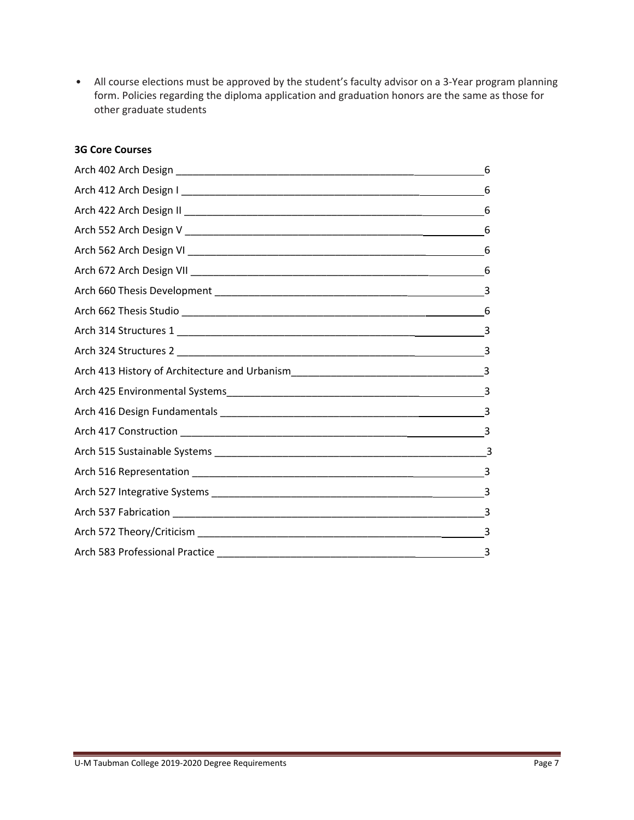• All course elections must be approved by the student's faculty advisor on a 3-Year program planning form. Policies regarding the diploma application and graduation honors are the same as those for other graduate students

## **3G Core Courses**

| 6             |
|---------------|
| -6            |
|               |
|               |
|               |
|               |
| 3             |
| 6             |
|               |
| $\frac{3}{2}$ |
|               |
|               |
|               |
|               |
|               |
| 3             |
|               |
|               |
|               |
|               |
|               |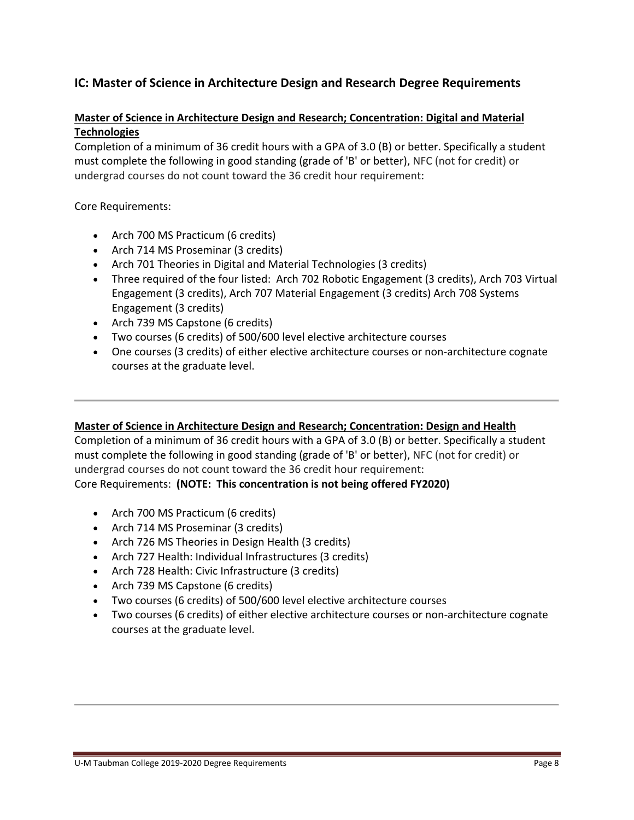## **IC: Master of Science in Architecture Design and Research Degree Requirements**

## **Master of Science in Architecture Design and Research; Concentration: Digital and Material Technologies**

Completion of a minimum of 36 credit hours with a GPA of 3.0 (B) or better. Specifically a student must complete the following in good standing (grade of 'B' or better), NFC (not for credit) or undergrad courses do not count toward the 36 credit hour requirement:

Core Requirements:

- Arch 700 MS Practicum (6 credits)
- Arch 714 MS Proseminar (3 credits)
- Arch 701 Theories in Digital and Material Technologies (3 credits)
- Three required of the four listed: Arch 702 Robotic Engagement (3 credits), Arch 703 Virtual Engagement (3 credits), Arch 707 Material Engagement (3 credits) Arch 708 Systems Engagement (3 credits)
- Arch 739 MS Capstone (6 credits)
- Two courses (6 credits) of 500/600 level elective architecture courses
- One courses (3 credits) of either elective architecture courses or non-architecture cognate courses at the graduate level.

#### **Master of Science in Architecture Design and Research; Concentration: Design and Health**

Completion of a minimum of 36 credit hours with a GPA of 3.0 (B) or better. Specifically a student must complete the following in good standing (grade of 'B' or better), NFC (not for credit) or undergrad courses do not count toward the 36 credit hour requirement: Core Requirements: **(NOTE: This concentration is not being offered FY2020)**

- Arch 700 MS Practicum (6 credits)
- Arch 714 MS Proseminar (3 credits)
- Arch 726 MS Theories in Design Health (3 credits)
- Arch 727 Health: Individual Infrastructures (3 credits)
- Arch 728 Health: Civic Infrastructure (3 credits)
- Arch 739 MS Capstone (6 credits)
- Two courses (6 credits) of 500/600 level elective architecture courses
- Two courses (6 credits) of either elective architecture courses or non-architecture cognate courses at the graduate level.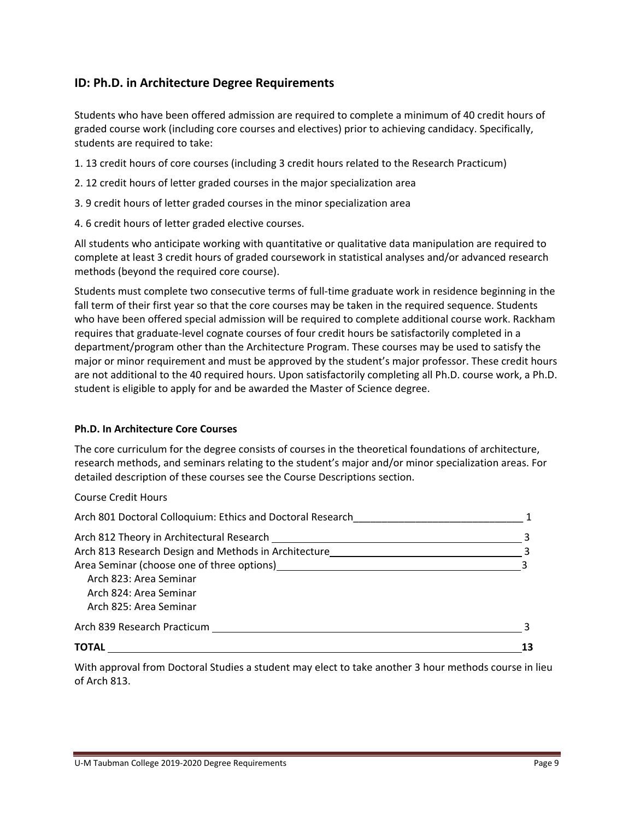## **ID: Ph.D. in Architecture Degree Requirements**

Students who have been offered admission are required to complete a minimum of 40 credit hours of graded course work (including core courses and electives) prior to achieving candidacy. Specifically, students are required to take:

- 1. 13 credit hours of core courses (including 3 credit hours related to the Research Practicum)
- 2. 12 credit hours of letter graded courses in the major specialization area
- 3. 9 credit hours of letter graded courses in the minor specialization area
- 4. 6 credit hours of letter graded elective courses.

All students who anticipate working with quantitative or qualitative data manipulation are required to complete at least 3 credit hours of graded coursework in statistical analyses and/or advanced research methods (beyond the required core course).

Students must complete two consecutive terms of full‐time graduate work in residence beginning in the fall term of their first year so that the core courses may be taken in the required sequence. Students who have been offered special admission will be required to complete additional course work. Rackham requires that graduate‐level cognate courses of four credit hours be satisfactorily completed in a department/program other than the Architecture Program. These courses may be used to satisfy the major or minor requirement and must be approved by the student's major professor. These credit hours are not additional to the 40 required hours. Upon satisfactorily completing all Ph.D. course work, a Ph.D. student is eligible to apply for and be awarded the Master of Science degree.

#### **Ph.D. In Architecture Core Courses**

The core curriculum for the degree consists of courses in the theoretical foundations of architecture, research methods, and seminars relating to the student's major and/or minor specialization areas. For detailed description of these courses see the Course Descriptions section.

Course Credit Hours

| <b>TOTAL</b>                                                                                                                                                                                                                   |  |
|--------------------------------------------------------------------------------------------------------------------------------------------------------------------------------------------------------------------------------|--|
| Arch 839 Research Practicum and the state of the state of the state of the state of the state of the state of the state of the state of the state of the state of the state of the state of the state of the state of the stat |  |
| Arch 825: Area Seminar                                                                                                                                                                                                         |  |
| Arch 824: Area Seminar                                                                                                                                                                                                         |  |
| Arch 823: Area Seminar                                                                                                                                                                                                         |  |
| Area Seminar (choose one of three options) example and the set of the set of the set of the set of the set of the set of the set of the set of the set of the set of the set of the set of the set of the set of the set of th |  |
| Arch 813 Research Design and Methods in Architecture                                                                                                                                                                           |  |
| Arch 812 Theory in Architectural Research                                                                                                                                                                                      |  |
| Arch 801 Doctoral Colloquium: Ethics and Doctoral Research                                                                                                                                                                     |  |

With approval from Doctoral Studies a student may elect to take another 3 hour methods course in lieu of Arch 813.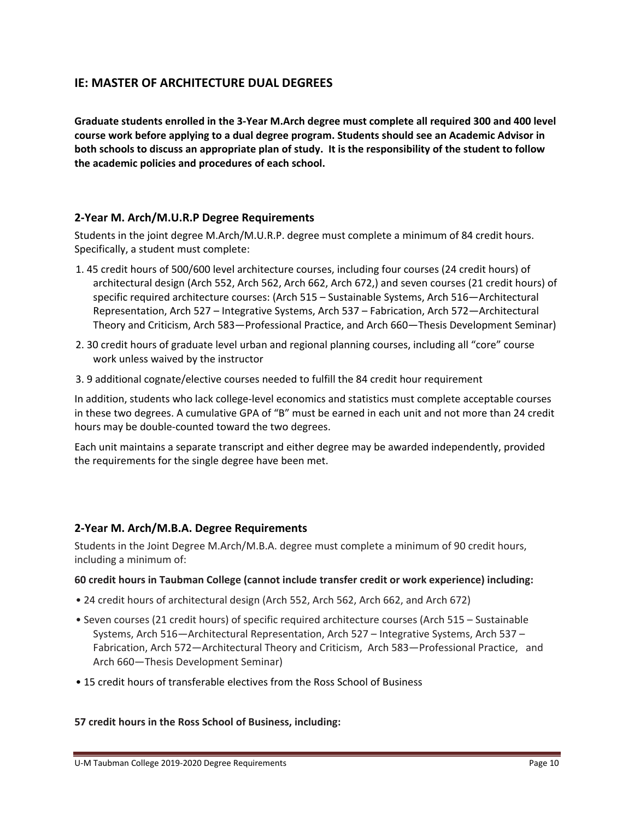## **IE: MASTER OF ARCHITECTURE DUAL DEGREES**

**Graduate students enrolled in the 3‐Year M.Arch degree must complete all required 300 and 400 level course work before applying to a dual degree program. Students should see an Academic Advisor in both schools to discuss an appropriate plan of study. It is the responsibility of the student to follow the academic policies and procedures of each school.** 

### **2‐Year M. Arch/M.U.R.P Degree Requirements**

Students in the joint degree M.Arch/M.U.R.P. degree must complete a minimum of 84 credit hours. Specifically, a student must complete:

- 1. 45 credit hours of 500/600 level architecture courses, including four courses (24 credit hours) of architectural design (Arch 552, Arch 562, Arch 662, Arch 672,) and seven courses (21 credit hours) of specific required architecture courses: (Arch 515 – Sustainable Systems, Arch 516—Architectural Representation, Arch 527 – Integrative Systems, Arch 537 – Fabrication, Arch 572—Architectural Theory and Criticism, Arch 583—Professional Practice, and Arch 660—Thesis Development Seminar)
- 2. 30 credit hours of graduate level urban and regional planning courses, including all "core" course work unless waived by the instructor
- 3. 9 additional cognate/elective courses needed to fulfill the 84 credit hour requirement

In addition, students who lack college‐level economics and statistics must complete acceptable courses in these two degrees. A cumulative GPA of "B" must be earned in each unit and not more than 24 credit hours may be double‐counted toward the two degrees.

Each unit maintains a separate transcript and either degree may be awarded independently, provided the requirements for the single degree have been met.

#### **2‐Year M. Arch/M.B.A. Degree Requirements**

Students in the Joint Degree M.Arch/M.B.A. degree must complete a minimum of 90 credit hours, including a minimum of:

#### **60 credit hours in Taubman College (cannot include transfer credit or work experience) including:**

- 24 credit hours of architectural design (Arch 552, Arch 562, Arch 662, and Arch 672)
- Seven courses (21 credit hours) of specific required architecture courses (Arch 515 Sustainable Systems, Arch 516—Architectural Representation, Arch 527 – Integrative Systems, Arch 537 – Fabrication, Arch 572—Architectural Theory and Criticism, Arch 583—Professional Practice, and Arch 660—Thesis Development Seminar)
- 15 credit hours of transferable electives from the Ross School of Business

#### **57 credit hours in the Ross School of Business, including:**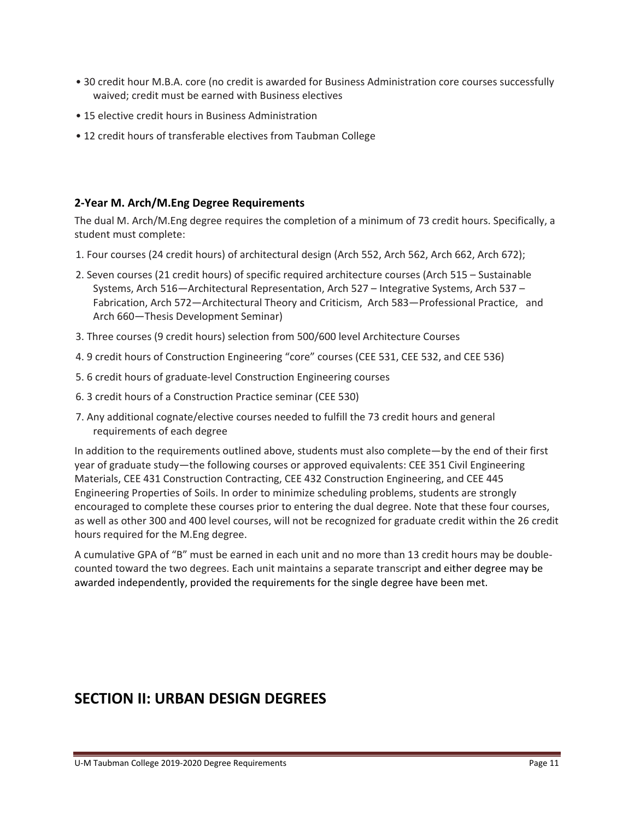- 30 credit hour M.B.A. core (no credit is awarded for Business Administration core courses successfully waived; credit must be earned with Business electives
- 15 elective credit hours in Business Administration
- 12 credit hours of transferable electives from Taubman College

#### **2‐Year M. Arch/M.Eng Degree Requirements**

The dual M. Arch/M.Eng degree requires the completion of a minimum of 73 credit hours. Specifically, a student must complete:

- 1. Four courses (24 credit hours) of architectural design (Arch 552, Arch 562, Arch 662, Arch 672);
- 2. Seven courses (21 credit hours) of specific required architecture courses (Arch 515 Sustainable Systems, Arch 516—Architectural Representation, Arch 527 – Integrative Systems, Arch 537 – Fabrication, Arch 572—Architectural Theory and Criticism, Arch 583—Professional Practice, and Arch 660—Thesis Development Seminar)
- 3. Three courses (9 credit hours) selection from 500/600 level Architecture Courses
- 4. 9 credit hours of Construction Engineering "core" courses (CEE 531, CEE 532, and CEE 536)
- 5. 6 credit hours of graduate‐level Construction Engineering courses
- 6. 3 credit hours of a Construction Practice seminar (CEE 530)
- 7. Any additional cognate/elective courses needed to fulfill the 73 credit hours and general requirements of each degree

In addition to the requirements outlined above, students must also complete—by the end of their first year of graduate study—the following courses or approved equivalents: CEE 351 Civil Engineering Materials, CEE 431 Construction Contracting, CEE 432 Construction Engineering, and CEE 445 Engineering Properties of Soils. In order to minimize scheduling problems, students are strongly encouraged to complete these courses prior to entering the dual degree. Note that these four courses, as well as other 300 and 400 level courses, will not be recognized for graduate credit within the 26 credit hours required for the M.Eng degree.

A cumulative GPA of "B" must be earned in each unit and no more than 13 credit hours may be double‐ counted toward the two degrees. Each unit maintains a separate transcript and either degree may be awarded independently, provided the requirements for the single degree have been met.

# **SECTION II: URBAN DESIGN DEGREES**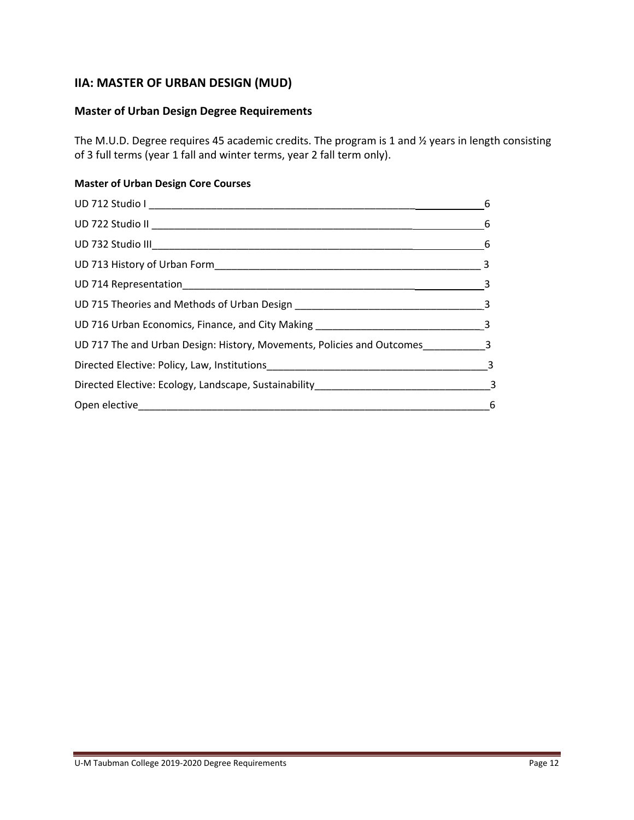## **IIA: MASTER OF URBAN DESIGN (MUD)**

## **Master of Urban Design Degree Requirements**

The M.U.D. Degree requires 45 academic credits. The program is 1 and ½ years in length consisting of 3 full terms (year 1 fall and winter terms, year 2 fall term only).

### **Master of Urban Design Core Courses**

|                                                                                    | 6 |
|------------------------------------------------------------------------------------|---|
|                                                                                    |   |
|                                                                                    |   |
|                                                                                    |   |
|                                                                                    |   |
|                                                                                    |   |
|                                                                                    |   |
| UD 717 The and Urban Design: History, Movements, Policies and Outcomes___________3 |   |
|                                                                                    |   |
|                                                                                    |   |
|                                                                                    |   |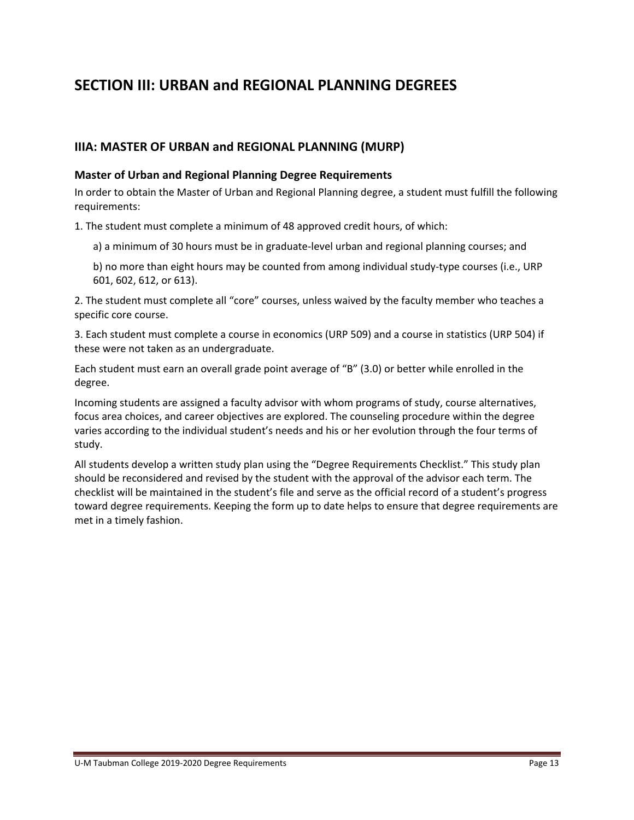# **SECTION III: URBAN and REGIONAL PLANNING DEGREES**

## **IIIA: MASTER OF URBAN and REGIONAL PLANNING (MURP)**

#### **Master of Urban and Regional Planning Degree Requirements**

In order to obtain the Master of Urban and Regional Planning degree, a student must fulfill the following requirements:

1. The student must complete a minimum of 48 approved credit hours, of which:

- a) a minimum of 30 hours must be in graduate‐level urban and regional planning courses; and
- b) no more than eight hours may be counted from among individual study‐type courses (i.e., URP 601, 602, 612, or 613).

2. The student must complete all "core" courses, unless waived by the faculty member who teaches a specific core course.

3. Each student must complete a course in economics (URP 509) and a course in statistics (URP 504) if these were not taken as an undergraduate.

Each student must earn an overall grade point average of "B" (3.0) or better while enrolled in the degree.

Incoming students are assigned a faculty advisor with whom programs of study, course alternatives, focus area choices, and career objectives are explored. The counseling procedure within the degree varies according to the individual student's needs and his or her evolution through the four terms of study.

All students develop a written study plan using the "Degree Requirements Checklist." This study plan should be reconsidered and revised by the student with the approval of the advisor each term. The checklist will be maintained in the student's file and serve as the official record of a student's progress toward degree requirements. Keeping the form up to date helps to ensure that degree requirements are met in a timely fashion.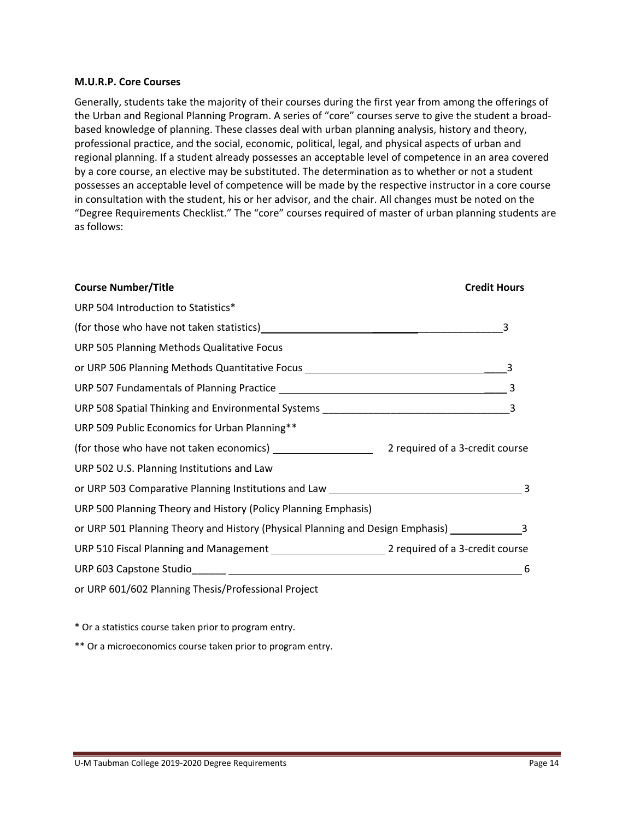#### **M.U.R.P. Core Courses**

Generally, students take the majority of their courses during the first year from among the offerings of the Urban and Regional Planning Program. A series of "core" courses serve to give the student a broad‐ based knowledge of planning. These classes deal with urban planning analysis, history and theory, professional practice, and the social, economic, political, legal, and physical aspects of urban and regional planning. If a student already possesses an acceptable level of competence in an area covered by a core course, an elective may be substituted. The determination as to whether or not a student possesses an acceptable level of competence will be made by the respective instructor in a core course in consultation with the student, his or her advisor, and the chair. All changes must be noted on the "Degree Requirements Checklist." The "core" courses required of master of urban planning students are as follows:

| <b>Course Number/Title</b>                                                                           | <b>Credit Hours</b>        |
|------------------------------------------------------------------------------------------------------|----------------------------|
| URP 504 Introduction to Statistics*                                                                  |                            |
|                                                                                                      | $\overline{\phantom{a}}$ 3 |
| URP 505 Planning Methods Qualitative Focus                                                           |                            |
| or URP 506 Planning Methods Quantitative Focus _________________________________                     |                            |
|                                                                                                      |                            |
|                                                                                                      |                            |
| URP 509 Public Economics for Urban Planning**                                                        |                            |
|                                                                                                      |                            |
| URP 502 U.S. Planning Institutions and Law                                                           |                            |
|                                                                                                      |                            |
| URP 500 Planning Theory and History (Policy Planning Emphasis)                                       |                            |
| or URP 501 Planning Theory and History (Physical Planning and Design Emphasis) ____________________3 |                            |
|                                                                                                      |                            |
|                                                                                                      | 6                          |
| or URP 601/602 Planning Thesis/Professional Project                                                  |                            |

\* Or a statistics course taken prior to program entry.

\*\* Or a microeconomics course taken prior to program entry.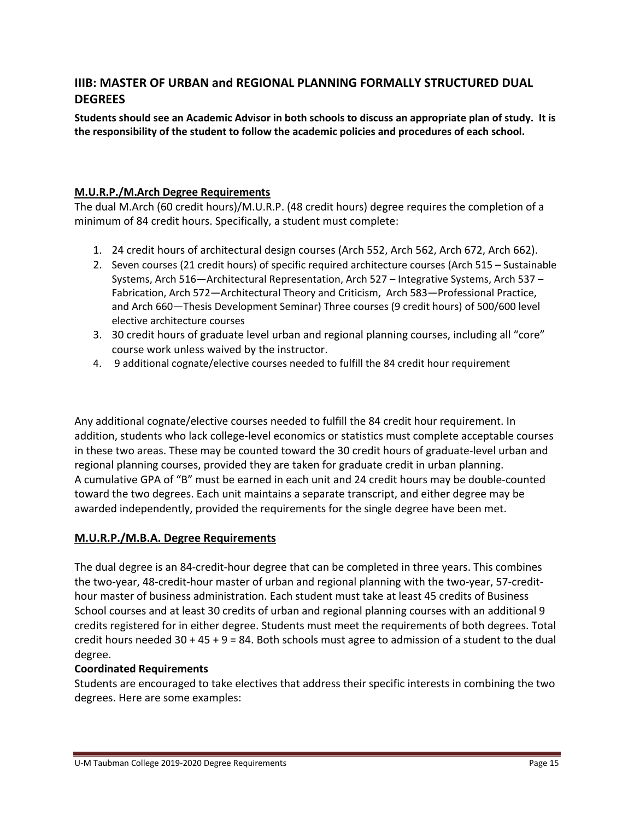## **IIIB: MASTER OF URBAN and REGIONAL PLANNING FORMALLY STRUCTURED DUAL DEGREES**

**Students should see an Academic Advisor in both schools to discuss an appropriate plan of study. It is the responsibility of the student to follow the academic policies and procedures of each school.** 

## **M.U.R.P./M.Arch Degree Requirements**

The dual M.Arch (60 credit hours)/M.U.R.P. (48 credit hours) degree requires the completion of a minimum of 84 credit hours. Specifically, a student must complete:

- 1. 24 credit hours of architectural design courses (Arch 552, Arch 562, Arch 672, Arch 662).
- 2. Seven courses (21 credit hours) of specific required architecture courses (Arch 515 Sustainable Systems, Arch 516—Architectural Representation, Arch 527 – Integrative Systems, Arch 537 – Fabrication, Arch 572—Architectural Theory and Criticism, Arch 583—Professional Practice, and Arch 660—Thesis Development Seminar) Three courses (9 credit hours) of 500/600 level elective architecture courses
- 3. 30 credit hours of graduate level urban and regional planning courses, including all "core" course work unless waived by the instructor.
- 4. 9 additional cognate/elective courses needed to fulfill the 84 credit hour requirement

Any additional cognate/elective courses needed to fulfill the 84 credit hour requirement. In addition, students who lack college‐level economics or statistics must complete acceptable courses in these two areas. These may be counted toward the 30 credit hours of graduate‐level urban and regional planning courses, provided they are taken for graduate credit in urban planning. A cumulative GPA of "B" must be earned in each unit and 24 credit hours may be double‐counted toward the two degrees. Each unit maintains a separate transcript, and either degree may be awarded independently, provided the requirements for the single degree have been met.

## **M.U.R.P./M.B.A. Degree Requirements**

The dual degree is an 84‐credit‐hour degree that can be completed in three years. This combines the two‐year, 48‐credit‐hour master of urban and regional planning with the two‐year, 57‐credit‐ hour master of business administration. Each student must take at least 45 credits of Business School courses and at least 30 credits of urban and regional planning courses with an additional 9 credits registered for in either degree. Students must meet the requirements of both degrees. Total credit hours needed  $30 + 45 + 9 = 84$ . Both schools must agree to admission of a student to the dual degree.

## **Coordinated Requirements**

Students are encouraged to take electives that address their specific interests in combining the two degrees. Here are some examples: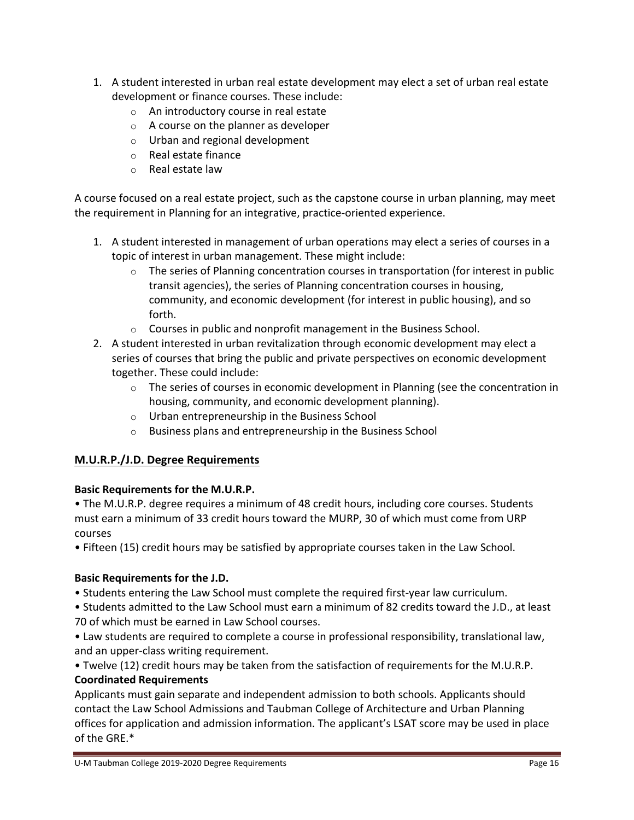- 1. A student interested in urban real estate development may elect a set of urban real estate development or finance courses. These include:
	- o An introductory course in real estate
	- o A course on the planner as developer
	- o Urban and regional development
	- o Real estate finance
	- o Real estate law

A course focused on a real estate project, such as the capstone course in urban planning, may meet the requirement in Planning for an integrative, practice‐oriented experience.

- 1. A student interested in management of urban operations may elect a series of courses in a topic of interest in urban management. These might include:
	- $\circ$  The series of Planning concentration courses in transportation (for interest in public transit agencies), the series of Planning concentration courses in housing, community, and economic development (for interest in public housing), and so forth.
	- o Courses in public and nonprofit management in the Business School.
- 2. A student interested in urban revitalization through economic development may elect a series of courses that bring the public and private perspectives on economic development together. These could include:
	- $\circ$  The series of courses in economic development in Planning (see the concentration in housing, community, and economic development planning).
	- o Urban entrepreneurship in the Business School
	- $\circ$  Business plans and entrepreneurship in the Business School

## **M.U.R.P./J.D. Degree Requirements**

## **Basic Requirements for the M.U.R.P.**

• The M.U.R.P. degree requires a minimum of 48 credit hours, including core courses. Students must earn a minimum of 33 credit hours toward the MURP, 30 of which must come from URP courses

• Fifteen (15) credit hours may be satisfied by appropriate courses taken in the Law School.

## **Basic Requirements for the J.D.**

• Students entering the Law School must complete the required first‐year law curriculum.

• Students admitted to the Law School must earn a minimum of 82 credits toward the J.D., at least 70 of which must be earned in Law School courses.

• Law students are required to complete a course in professional responsibility, translational law, and an upper‐class writing requirement.

• Twelve (12) credit hours may be taken from the satisfaction of requirements for the M.U.R.P. **Coordinated Requirements**

Applicants must gain separate and independent admission to both schools. Applicants should contact the Law School Admissions and Taubman College of Architecture and Urban Planning offices for application and admission information. The applicant's LSAT score may be used in place of the GRE.\*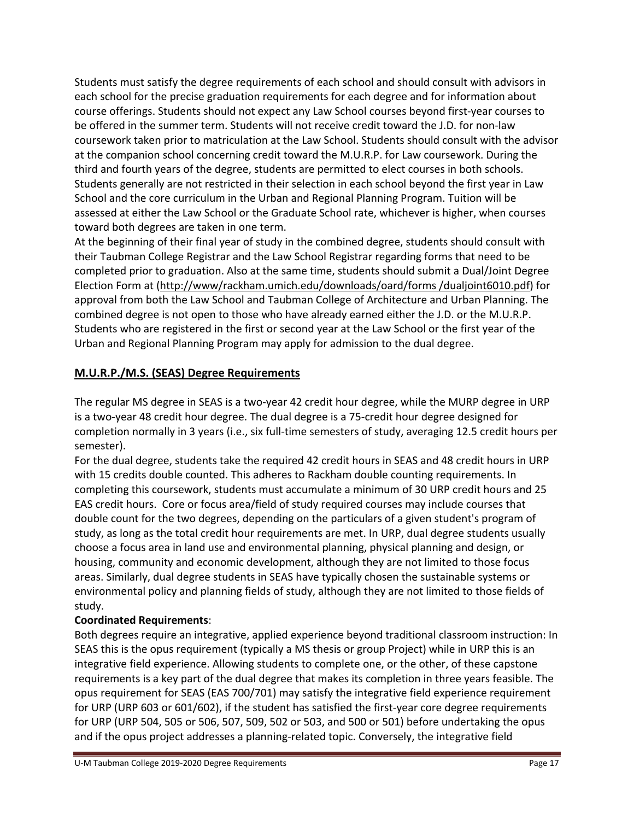Students must satisfy the degree requirements of each school and should consult with advisors in each school for the precise graduation requirements for each degree and for information about course offerings. Students should not expect any Law School courses beyond first‐year courses to be offered in the summer term. Students will not receive credit toward the J.D. for non-law coursework taken prior to matriculation at the Law School. Students should consult with the advisor at the companion school concerning credit toward the M.U.R.P. for Law coursework. During the third and fourth years of the degree, students are permitted to elect courses in both schools. Students generally are not restricted in their selection in each school beyond the first year in Law School and the core curriculum in the Urban and Regional Planning Program. Tuition will be assessed at either the Law School or the Graduate School rate, whichever is higher, when courses toward both degrees are taken in one term.

At the beginning of their final year of study in the combined degree, students should consult with their Taubman College Registrar and the Law School Registrar regarding forms that need to be completed prior to graduation. Also at the same time, students should submit a Dual/Joint Degree Election Form at (http://www/rackham.umich.edu/downloads/oard/forms /dualjoint6010.pdf) for approval from both the Law School and Taubman College of Architecture and Urban Planning. The combined degree is not open to those who have already earned either the J.D. or the M.U.R.P. Students who are registered in the first or second year at the Law School or the first year of the Urban and Regional Planning Program may apply for admission to the dual degree.

## **M.U.R.P./M.S. (SEAS) Degree Requirements**

The regular MS degree in SEAS is a two-year 42 credit hour degree, while the MURP degree in URP is a two‐year 48 credit hour degree. The dual degree is a 75‐credit hour degree designed for completion normally in 3 years (i.e., six full‐time semesters of study, averaging 12.5 credit hours per semester).

For the dual degree, students take the required 42 credit hours in SEAS and 48 credit hours in URP with 15 credits double counted. This adheres to Rackham double counting requirements. In completing this coursework, students must accumulate a minimum of 30 URP credit hours and 25 EAS credit hours. Core or focus area/field of study required courses may include courses that double count for the two degrees, depending on the particulars of a given student's program of study, as long as the total credit hour requirements are met. In URP, dual degree students usually choose a focus area in land use and environmental planning, physical planning and design, or housing, community and economic development, although they are not limited to those focus areas. Similarly, dual degree students in SEAS have typically chosen the sustainable systems or environmental policy and planning fields of study, although they are not limited to those fields of study.

## **Coordinated Requirements**:

Both degrees require an integrative, applied experience beyond traditional classroom instruction: In SEAS this is the opus requirement (typically a MS thesis or group Project) while in URP this is an integrative field experience. Allowing students to complete one, or the other, of these capstone requirements is a key part of the dual degree that makes its completion in three years feasible. The opus requirement for SEAS (EAS 700/701) may satisfy the integrative field experience requirement for URP (URP 603 or 601/602), if the student has satisfied the first-year core degree requirements for URP (URP 504, 505 or 506, 507, 509, 502 or 503, and 500 or 501) before undertaking the opus and if the opus project addresses a planning‐related topic. Conversely, the integrative field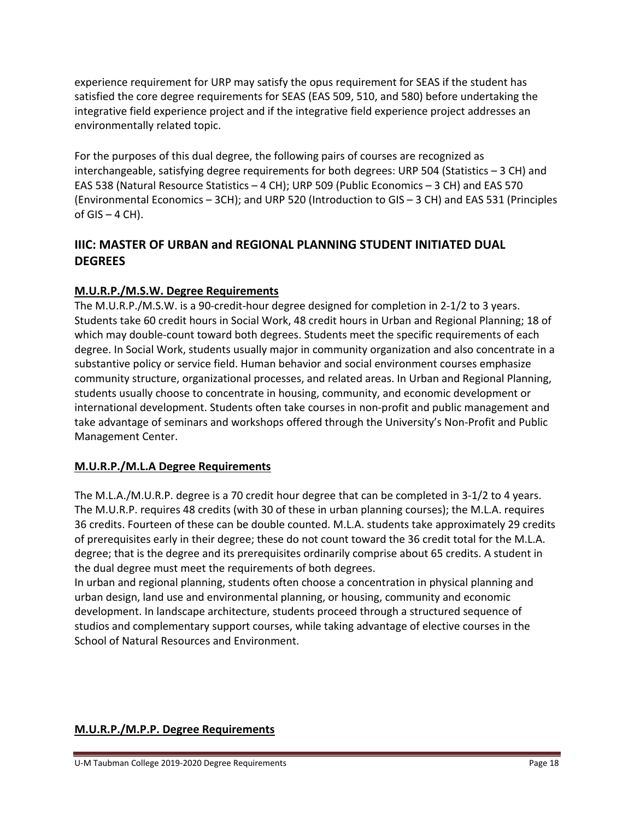experience requirement for URP may satisfy the opus requirement for SEAS if the student has satisfied the core degree requirements for SEAS (EAS 509, 510, and 580) before undertaking the integrative field experience project and if the integrative field experience project addresses an environmentally related topic.

For the purposes of this dual degree, the following pairs of courses are recognized as interchangeable, satisfying degree requirements for both degrees: URP 504 (Statistics – 3 CH) and EAS 538 (Natural Resource Statistics – 4 CH); URP 509 (Public Economics – 3 CH) and EAS 570 (Environmental Economics – 3CH); and URP 520 (Introduction to GIS – 3 CH) and EAS 531 (Principles of  $GIS - 4 CH$ ).

## **IIIC: MASTER OF URBAN and REGIONAL PLANNING STUDENT INITIATED DUAL DEGREES**

## **M.U.R.P./M.S.W. Degree Requirements**

The M.U.R.P./M.S.W. is a 90-credit-hour degree designed for completion in 2-1/2 to 3 years. Students take 60 credit hours in Social Work, 48 credit hours in Urban and Regional Planning; 18 of which may double-count toward both degrees. Students meet the specific requirements of each degree. In Social Work, students usually major in community organization and also concentrate in a substantive policy or service field. Human behavior and social environment courses emphasize community structure, organizational processes, and related areas. In Urban and Regional Planning, students usually choose to concentrate in housing, community, and economic development or international development. Students often take courses in non‐profit and public management and take advantage of seminars and workshops offered through the University's Non‐Profit and Public Management Center.

## **M.U.R.P./M.L.A Degree Requirements**

The M.L.A./M.U.R.P. degree is a 70 credit hour degree that can be completed in 3‐1/2 to 4 years. The M.U.R.P. requires 48 credits (with 30 of these in urban planning courses); the M.L.A. requires 36 credits. Fourteen of these can be double counted. M.L.A. students take approximately 29 credits of prerequisites early in their degree; these do not count toward the 36 credit total for the M.L.A. degree; that is the degree and its prerequisites ordinarily comprise about 65 credits. A student in the dual degree must meet the requirements of both degrees.

In urban and regional planning, students often choose a concentration in physical planning and urban design, land use and environmental planning, or housing, community and economic development. In landscape architecture, students proceed through a structured sequence of studios and complementary support courses, while taking advantage of elective courses in the School of Natural Resources and Environment.

## **M.U.R.P./M.P.P. Degree Requirements**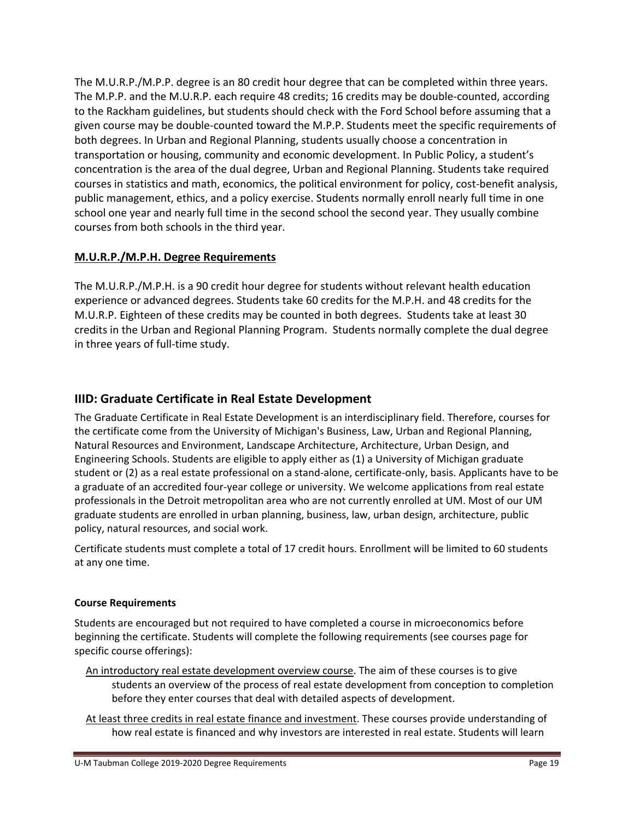The M.U.R.P./M.P.P. degree is an 80 credit hour degree that can be completed within three years. The M.P.P. and the M.U.R.P. each require 48 credits; 16 credits may be double‐counted, according to the Rackham guidelines, but students should check with the Ford School before assuming that a given course may be double‐counted toward the M.P.P. Students meet the specific requirements of both degrees. In Urban and Regional Planning, students usually choose a concentration in transportation or housing, community and economic development. In Public Policy, a student's concentration is the area of the dual degree, Urban and Regional Planning. Students take required courses in statistics and math, economics, the political environment for policy, cost‐benefit analysis, public management, ethics, and a policy exercise. Students normally enroll nearly full time in one school one year and nearly full time in the second school the second year. They usually combine courses from both schools in the third year.

## **M.U.R.P./M.P.H. Degree Requirements**

The M.U.R.P./M.P.H. is a 90 credit hour degree for students without relevant health education experience or advanced degrees. Students take 60 credits for the M.P.H. and 48 credits for the M.U.R.P. Eighteen of these credits may be counted in both degrees. Students take at least 30 credits in the Urban and Regional Planning Program. Students normally complete the dual degree in three years of full‐time study.

## **IIID: Graduate Certificate in Real Estate Development**

The Graduate Certificate in Real Estate Development is an interdisciplinary field. Therefore, courses for the certificate come from the University of Michigan's Business, Law, Urban and Regional Planning, Natural Resources and Environment, Landscape Architecture, Architecture, Urban Design, and Engineering Schools. Students are eligible to apply either as (1) a University of Michigan graduate student or (2) as a real estate professional on a stand‐alone, certificate‐only, basis. Applicants have to be a graduate of an accredited four‐year college or university. We welcome applications from real estate professionals in the Detroit metropolitan area who are not currently enrolled at UM. Most of our UM graduate students are enrolled in urban planning, business, law, urban design, architecture, public policy, natural resources, and social work.

Certificate students must complete a total of 17 credit hours. Enrollment will be limited to 60 students at any one time.

## **Course Requirements**

Students are encouraged but not required to have completed a course in microeconomics before beginning the certificate. Students will complete the following requirements (see courses page for specific course offerings):

- An introductory real estate development overview course. The aim of these courses is to give students an overview of the process of real estate development from conception to completion before they enter courses that deal with detailed aspects of development.
- At least three credits in real estate finance and investment. These courses provide understanding of how real estate is financed and why investors are interested in real estate. Students will learn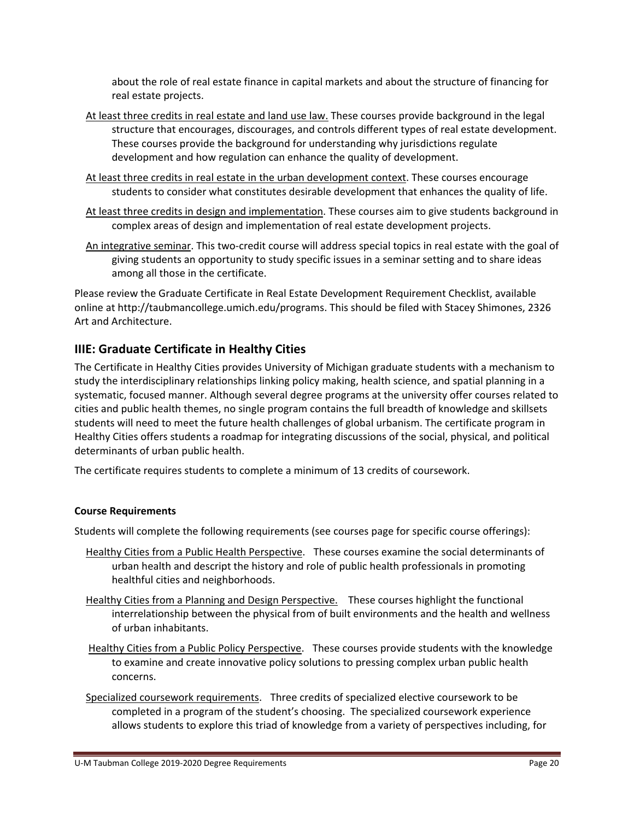about the role of real estate finance in capital markets and about the structure of financing for real estate projects.

- At least three credits in real estate and land use law. These courses provide background in the legal structure that encourages, discourages, and controls different types of real estate development. These courses provide the background for understanding why jurisdictions regulate development and how regulation can enhance the quality of development.
- At least three credits in real estate in the urban development context. These courses encourage students to consider what constitutes desirable development that enhances the quality of life.
- At least three credits in design and implementation. These courses aim to give students background in complex areas of design and implementation of real estate development projects.
- An integrative seminar. This two-credit course will address special topics in real estate with the goal of giving students an opportunity to study specific issues in a seminar setting and to share ideas among all those in the certificate.

Please review the Graduate Certificate in Real Estate Development Requirement Checklist, available online at http://taubmancollege.umich.edu/programs. This should be filed with Stacey Shimones, 2326 Art and Architecture.

## **IIIE: Graduate Certificate in Healthy Cities**

The Certificate in Healthy Cities provides University of Michigan graduate students with a mechanism to study the interdisciplinary relationships linking policy making, health science, and spatial planning in a systematic, focused manner. Although several degree programs at the university offer courses related to cities and public health themes, no single program contains the full breadth of knowledge and skillsets students will need to meet the future health challenges of global urbanism. The certificate program in Healthy Cities offers students a roadmap for integrating discussions of the social, physical, and political determinants of urban public health.

The certificate requires students to complete a minimum of 13 credits of coursework.

#### **Course Requirements**

Students will complete the following requirements (see courses page for specific course offerings):

- Healthy Cities from a Public Health Perspective. These courses examine the social determinants of urban health and descript the history and role of public health professionals in promoting healthful cities and neighborhoods.
- Healthy Cities from a Planning and Design Perspective. These courses highlight the functional interrelationship between the physical from of built environments and the health and wellness of urban inhabitants.
- Healthy Cities from a Public Policy Perspective. These courses provide students with the knowledge to examine and create innovative policy solutions to pressing complex urban public health concerns.
- Specialized coursework requirements. Three credits of specialized elective coursework to be completed in a program of the student's choosing. The specialized coursework experience allows students to explore this triad of knowledge from a variety of perspectives including, for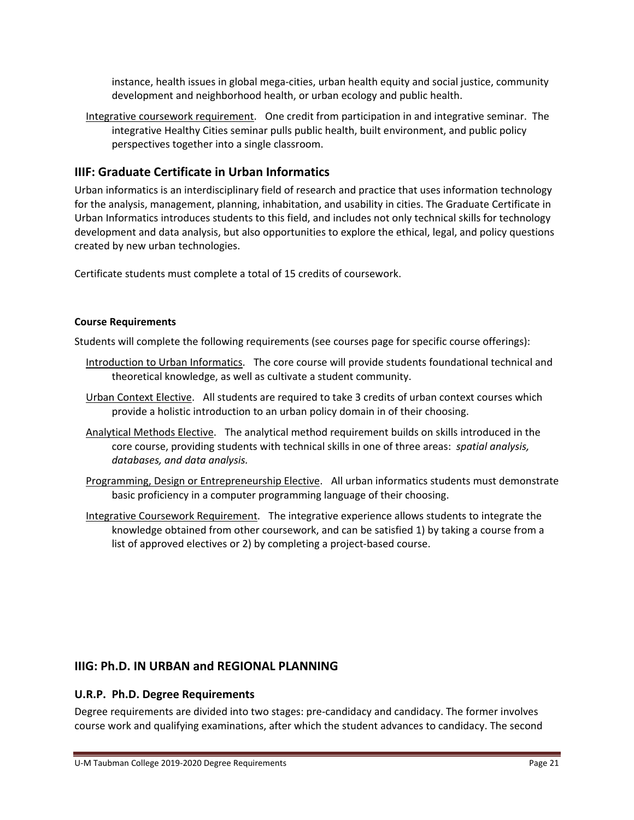instance, health issues in global mega‐cities, urban health equity and social justice, community development and neighborhood health, or urban ecology and public health.

Integrative coursework requirement. One credit from participation in and integrative seminar. The integrative Healthy Cities seminar pulls public health, built environment, and public policy perspectives together into a single classroom.

## **IIIF: Graduate Certificate in Urban Informatics**

Urban informatics is an interdisciplinary field of research and practice that uses information technology for the analysis, management, planning, inhabitation, and usability in cities. The Graduate Certificate in Urban Informatics introduces students to this field, and includes not only technical skills for technology development and data analysis, but also opportunities to explore the ethical, legal, and policy questions created by new urban technologies.

Certificate students must complete a total of 15 credits of coursework.

#### **Course Requirements**

Students will complete the following requirements (see courses page for specific course offerings):

- Introduction to Urban Informatics. The core course will provide students foundational technical and theoretical knowledge, as well as cultivate a student community.
- Urban Context Elective. All students are required to take 3 credits of urban context courses which provide a holistic introduction to an urban policy domain in of their choosing.
- Analytical Methods Elective. The analytical method requirement builds on skills introduced in the core course, providing students with technical skills in one of three areas: *spatial analysis, databases, and data analysis.*
- Programming, Design or Entrepreneurship Elective. All urban informatics students must demonstrate basic proficiency in a computer programming language of their choosing.
- Integrative Coursework Requirement. The integrative experience allows students to integrate the knowledge obtained from other coursework, and can be satisfied 1) by taking a course from a list of approved electives or 2) by completing a project-based course.

## **IIIG: Ph.D. IN URBAN and REGIONAL PLANNING**

## **U.R.P. Ph.D. Degree Requirements**

Degree requirements are divided into two stages: pre‐candidacy and candidacy. The former involves course work and qualifying examinations, after which the student advances to candidacy. The second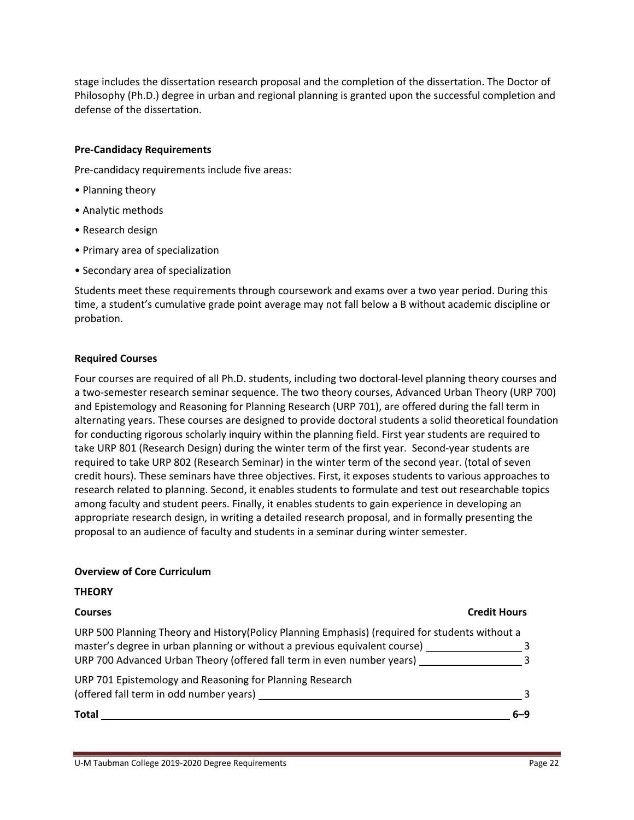stage includes the dissertation research proposal and the completion of the dissertation. The Doctor of Philosophy (Ph.D.) degree in urban and regional planning is granted upon the successful completion and defense of the dissertation.

#### **Pre‐Candidacy Requirements**

Pre-candidacy requirements include five areas:

- Planning theory
- Analytic methods
- Research design
- Primary area of specialization
- Secondary area of specialization

Students meet these requirements through coursework and exams over a two year period. During this time, a student's cumulative grade point average may not fall below a B without academic discipline or probation.

#### **Required Courses**

Four courses are required of all Ph.D. students, including two doctoral‐level planning theory courses and a two-semester research seminar sequence. The two theory courses, Advanced Urban Theory (URP 700) and Epistemology and Reasoning for Planning Research (URP 701), are offered during the fall term in alternating years. These courses are designed to provide doctoral students a solid theoretical foundation for conducting rigorous scholarly inquiry within the planning field. First year students are required to take URP 801 (Research Design) during the winter term of the first year. Second‐year students are required to take URP 802 (Research Seminar) in the winter term of the second year. (total of seven credit hours). These seminars have three objectives. First, it exposes students to various approaches to research related to planning. Second, it enables students to formulate and test out researchable topics among faculty and student peers. Finally, it enables students to gain experience in developing an appropriate research design, in writing a detailed research proposal, and in formally presenting the proposal to an audience of faculty and students in a seminar during winter semester.

#### **Overview of Core Curriculum**

#### **THEORY**

#### **Courses Credit Hours**

| <b>Total</b>                                                                                    | 6–ዓ |
|-------------------------------------------------------------------------------------------------|-----|
| (offered fall term in odd number years)                                                         |     |
| URP 701 Epistemology and Reasoning for Planning Research                                        |     |
| URP 700 Advanced Urban Theory (offered fall term in even number years)                          |     |
| master's degree in urban planning or without a previous equivalent course)                      |     |
| URP 500 Planning Theory and History (Policy Planning Emphasis) (required for students without a |     |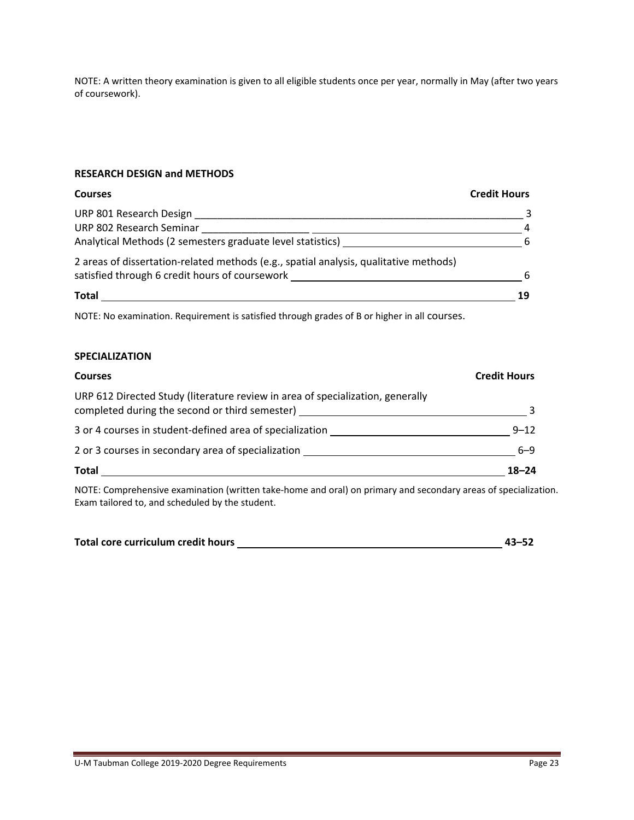NOTE: A written theory examination is given to all eligible students once per year, normally in May (after two years of coursework).

#### **RESEARCH DESIGN and METHODS**

#### **Courses Credit Hours**

| URP 801 Research Design                                                               |   |
|---------------------------------------------------------------------------------------|---|
| URP 802 Research Seminar                                                              |   |
| Analytical Methods (2 semesters graduate level statistics)                            | 6 |
| 2 areas of dissertation-related methods (e.g., spatial analysis, qualitative methods) |   |
| satisfied through 6 credit hours of coursework                                        | 6 |
| <b>Total</b>                                                                          |   |

NOTE: No examination. Requirement is satisfied through grades of B or higher in all courses.

#### **SPECIALIZATION**

| <b>Courses</b>                                                                                                                   | <b>Credit Hours</b> |
|----------------------------------------------------------------------------------------------------------------------------------|---------------------|
| URP 612 Directed Study (literature review in area of specialization, generally<br>completed during the second or third semester) |                     |
| 3 or 4 courses in student-defined area of specialization                                                                         | $9 - 12$            |
| 2 or 3 courses in secondary area of specialization                                                                               | $6 - 9$             |
| <b>Total</b>                                                                                                                     | $18 - 24$           |
| MOTE. Concerted and constitution fundamental based and and the material decoration and concert of an estate is                   |                     |

NOTE: Comprehensive examination (written take‐home and oral) on primary and secondary areas of specialization. Exam tailored to, and scheduled by the student.

| Total core curriculum credit hours | 43–52 |
|------------------------------------|-------|
|                                    |       |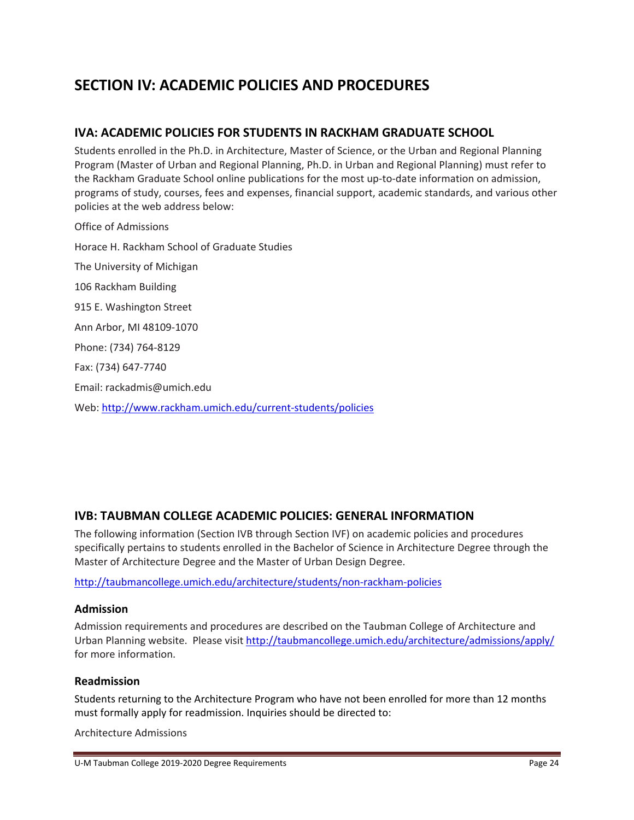# **SECTION IV: ACADEMIC POLICIES AND PROCEDURES**

## **IVA: ACADEMIC POLICIES FOR STUDENTS IN RACKHAM GRADUATE SCHOOL**

Students enrolled in the Ph.D. in Architecture, Master of Science, or the Urban and Regional Planning Program (Master of Urban and Regional Planning, Ph.D. in Urban and Regional Planning) must refer to the Rackham Graduate School online publications for the most up‐to‐date information on admission, programs of study, courses, fees and expenses, financial support, academic standards, and various other policies at the web address below:

Office of Admissions Horace H. Rackham School of Graduate Studies The University of Michigan 106 Rackham Building 915 E. Washington Street Ann Arbor, MI 48109‐1070 Phone: (734) 764‐8129 Fax: (734) 647‐7740 Email: rackadmis@umich.edu Web: http://www.rackham.umich.edu/current‐students/policies

## **IVB: TAUBMAN COLLEGE ACADEMIC POLICIES: GENERAL INFORMATION**

The following information (Section IVB through Section IVF) on academic policies and procedures specifically pertains to students enrolled in the Bachelor of Science in Architecture Degree through the Master of Architecture Degree and the Master of Urban Design Degree.

http://taubmancollege.umich.edu/architecture/students/non‐rackham‐policies

#### **Admission**

Admission requirements and procedures are described on the Taubman College of Architecture and Urban Planning website. Please visit http://taubmancollege.umich.edu/architecture/admissions/apply/ for more information.

#### **Readmission**

Students returning to the Architecture Program who have not been enrolled for more than 12 months must formally apply for readmission. Inquiries should be directed to:

Architecture Admissions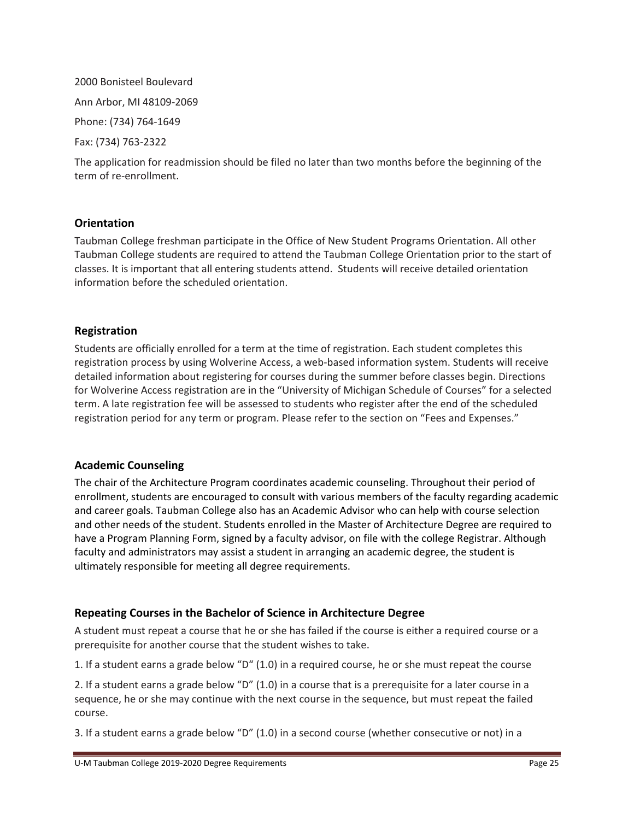2000 Bonisteel Boulevard Ann Arbor, MI 48109‐2069 Phone: (734) 764‐1649 Fax: (734) 763‐2322

The application for readmission should be filed no later than two months before the beginning of the term of re‐enrollment.

### **Orientation**

Taubman College freshman participate in the Office of New Student Programs Orientation. All other Taubman College students are required to attend the Taubman College Orientation prior to the start of classes. It is important that all entering students attend. Students will receive detailed orientation information before the scheduled orientation.

## **Registration**

Students are officially enrolled for a term at the time of registration. Each student completes this registration process by using Wolverine Access, a web-based information system. Students will receive detailed information about registering for courses during the summer before classes begin. Directions for Wolverine Access registration are in the "University of Michigan Schedule of Courses" for a selected term. A late registration fee will be assessed to students who register after the end of the scheduled registration period for any term or program. Please refer to the section on "Fees and Expenses."

#### **Academic Counseling**

The chair of the Architecture Program coordinates academic counseling. Throughout their period of enrollment, students are encouraged to consult with various members of the faculty regarding academic and career goals. Taubman College also has an Academic Advisor who can help with course selection and other needs of the student. Students enrolled in the Master of Architecture Degree are required to have a Program Planning Form, signed by a faculty advisor, on file with the college Registrar. Although faculty and administrators may assist a student in arranging an academic degree, the student is ultimately responsible for meeting all degree requirements.

## **Repeating Courses in the Bachelor of Science in Architecture Degree**

A student must repeat a course that he or she has failed if the course is either a required course or a prerequisite for another course that the student wishes to take.

1. If a student earns a grade below "D" (1.0) in a required course, he or she must repeat the course

2. If a student earns a grade below "D" (1.0) in a course that is a prerequisite for a later course in a sequence, he or she may continue with the next course in the sequence, but must repeat the failed course.

3. If a student earns a grade below "D" (1.0) in a second course (whether consecutive or not) in a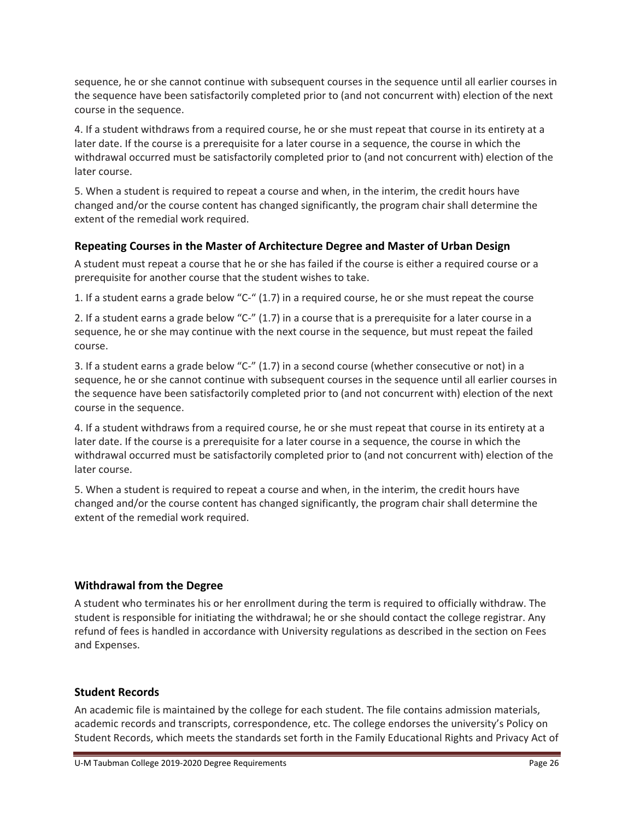sequence, he or she cannot continue with subsequent courses in the sequence until all earlier courses in the sequence have been satisfactorily completed prior to (and not concurrent with) election of the next course in the sequence.

4. If a student withdraws from a required course, he or she must repeat that course in its entirety at a later date. If the course is a prerequisite for a later course in a sequence, the course in which the withdrawal occurred must be satisfactorily completed prior to (and not concurrent with) election of the later course.

5. When a student is required to repeat a course and when, in the interim, the credit hours have changed and/or the course content has changed significantly, the program chair shall determine the extent of the remedial work required.

## **Repeating Courses in the Master of Architecture Degree and Master of Urban Design**

A student must repeat a course that he or she has failed if the course is either a required course or a prerequisite for another course that the student wishes to take.

1. If a student earns a grade below "C‐" (1.7) in a required course, he or she must repeat the course

2. If a student earns a grade below "C-" (1.7) in a course that is a prerequisite for a later course in a sequence, he or she may continue with the next course in the sequence, but must repeat the failed course.

3. If a student earns a grade below "C‐" (1.7) in a second course (whether consecutive or not) in a sequence, he or she cannot continue with subsequent courses in the sequence until all earlier courses in the sequence have been satisfactorily completed prior to (and not concurrent with) election of the next course in the sequence.

4. If a student withdraws from a required course, he or she must repeat that course in its entirety at a later date. If the course is a prerequisite for a later course in a sequence, the course in which the withdrawal occurred must be satisfactorily completed prior to (and not concurrent with) election of the later course.

5. When a student is required to repeat a course and when, in the interim, the credit hours have changed and/or the course content has changed significantly, the program chair shall determine the extent of the remedial work required.

## **Withdrawal from the Degree**

A student who terminates his or her enrollment during the term is required to officially withdraw. The student is responsible for initiating the withdrawal; he or she should contact the college registrar. Any refund of fees is handled in accordance with University regulations as described in the section on Fees and Expenses.

## **Student Records**

An academic file is maintained by the college for each student. The file contains admission materials, academic records and transcripts, correspondence, etc. The college endorses the university's Policy on Student Records, which meets the standards set forth in the Family Educational Rights and Privacy Act of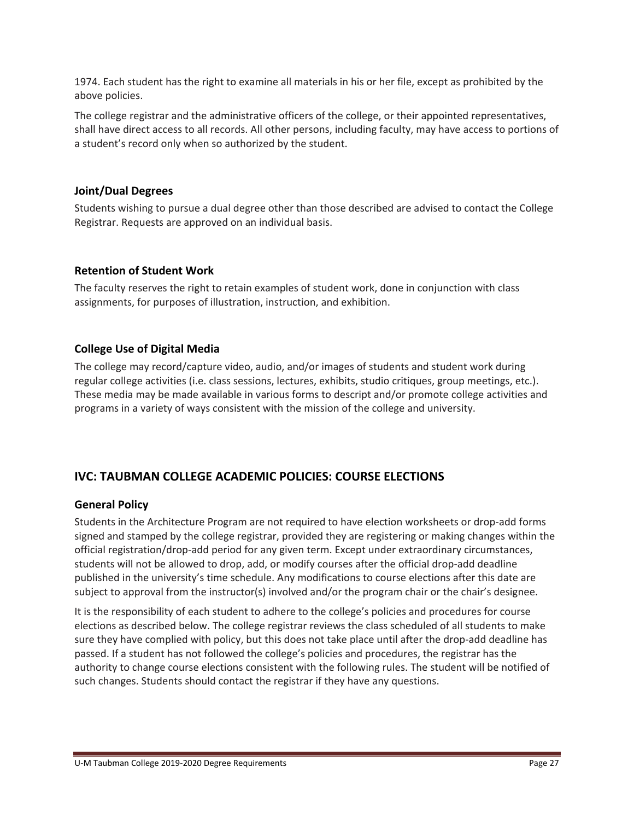1974. Each student has the right to examine all materials in his or her file, except as prohibited by the above policies.

The college registrar and the administrative officers of the college, or their appointed representatives, shall have direct access to all records. All other persons, including faculty, may have access to portions of a student's record only when so authorized by the student.

## **Joint/Dual Degrees**

Students wishing to pursue a dual degree other than those described are advised to contact the College Registrar. Requests are approved on an individual basis.

### **Retention of Student Work**

The faculty reserves the right to retain examples of student work, done in conjunction with class assignments, for purposes of illustration, instruction, and exhibition.

## **College Use of Digital Media**

The college may record/capture video, audio, and/or images of students and student work during regular college activities (i.e. class sessions, lectures, exhibits, studio critiques, group meetings, etc.). These media may be made available in various forms to descript and/or promote college activities and programs in a variety of ways consistent with the mission of the college and university.

## **IVC: TAUBMAN COLLEGE ACADEMIC POLICIES: COURSE ELECTIONS**

#### **General Policy**

Students in the Architecture Program are not required to have election worksheets or drop-add forms signed and stamped by the college registrar, provided they are registering or making changes within the official registration/drop‐add period for any given term. Except under extraordinary circumstances, students will not be allowed to drop, add, or modify courses after the official drop-add deadline published in the university's time schedule. Any modifications to course elections after this date are subject to approval from the instructor(s) involved and/or the program chair or the chair's designee.

It is the responsibility of each student to adhere to the college's policies and procedures for course elections as described below. The college registrar reviews the class scheduled of all students to make sure they have complied with policy, but this does not take place until after the drop-add deadline has passed. If a student has not followed the college's policies and procedures, the registrar has the authority to change course elections consistent with the following rules. The student will be notified of such changes. Students should contact the registrar if they have any questions.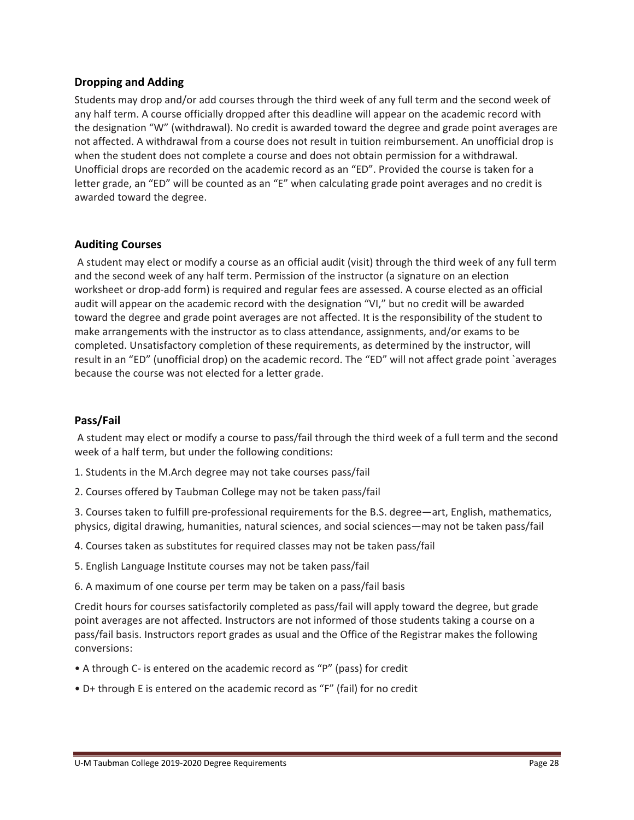## **Dropping and Adding**

Students may drop and/or add courses through the third week of any full term and the second week of any half term. A course officially dropped after this deadline will appear on the academic record with the designation "W" (withdrawal). No credit is awarded toward the degree and grade point averages are not affected. A withdrawal from a course does not result in tuition reimbursement. An unofficial drop is when the student does not complete a course and does not obtain permission for a withdrawal. Unofficial drops are recorded on the academic record as an "ED". Provided the course is taken for a letter grade, an "ED" will be counted as an "E" when calculating grade point averages and no credit is awarded toward the degree.

### **Auditing Courses**

A student may elect or modify a course as an official audit (visit) through the third week of any full term and the second week of any half term. Permission of the instructor (a signature on an election worksheet or drop-add form) is required and regular fees are assessed. A course elected as an official audit will appear on the academic record with the designation "VI," but no credit will be awarded toward the degree and grade point averages are not affected. It is the responsibility of the student to make arrangements with the instructor as to class attendance, assignments, and/or exams to be completed. Unsatisfactory completion of these requirements, as determined by the instructor, will result in an "ED" (unofficial drop) on the academic record. The "ED" will not affect grade point `averages because the course was not elected for a letter grade.

#### **Pass/Fail**

A student may elect or modify a course to pass/fail through the third week of a full term and the second week of a half term, but under the following conditions:

- 1. Students in the M.Arch degree may not take courses pass/fail
- 2. Courses offered by Taubman College may not be taken pass/fail

3. Courses taken to fulfill pre‐professional requirements for the B.S. degree—art, English, mathematics, physics, digital drawing, humanities, natural sciences, and social sciences—may not be taken pass/fail

- 4. Courses taken as substitutes for required classes may not be taken pass/fail
- 5. English Language Institute courses may not be taken pass/fail
- 6. A maximum of one course per term may be taken on a pass/fail basis

Credit hours for courses satisfactorily completed as pass/fail will apply toward the degree, but grade point averages are not affected. Instructors are not informed of those students taking a course on a pass/fail basis. Instructors report grades as usual and the Office of the Registrar makes the following conversions:

- A through C‐ is entered on the academic record as "P" (pass) for credit
- D+ through E is entered on the academic record as "F" (fail) for no credit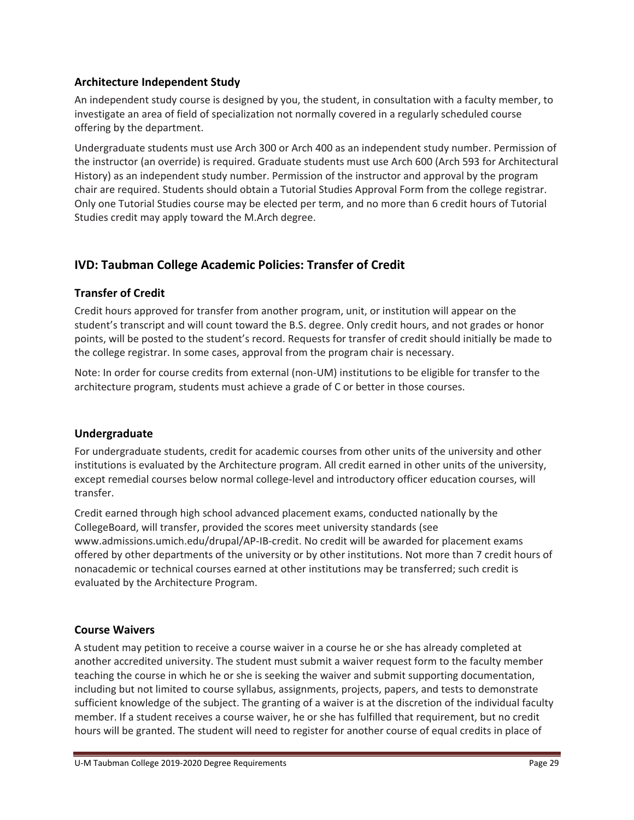## **Architecture Independent Study**

An independent study course is designed by you, the student, in consultation with a faculty member, to investigate an area of field of specialization not normally covered in a regularly scheduled course offering by the department.

Undergraduate students must use Arch 300 or Arch 400 as an independent study number. Permission of the instructor (an override) is required. Graduate students must use Arch 600 (Arch 593 for Architectural History) as an independent study number. Permission of the instructor and approval by the program chair are required. Students should obtain a Tutorial Studies Approval Form from the college registrar. Only one Tutorial Studies course may be elected per term, and no more than 6 credit hours of Tutorial Studies credit may apply toward the M.Arch degree.

## **IVD: Taubman College Academic Policies: Transfer of Credit**

## **Transfer of Credit**

Credit hours approved for transfer from another program, unit, or institution will appear on the student's transcript and will count toward the B.S. degree. Only credit hours, and not grades or honor points, will be posted to the student's record. Requests for transfer of credit should initially be made to the college registrar. In some cases, approval from the program chair is necessary.

Note: In order for course credits from external (non‐UM) institutions to be eligible for transfer to the architecture program, students must achieve a grade of C or better in those courses.

## **Undergraduate**

For undergraduate students, credit for academic courses from other units of the university and other institutions is evaluated by the Architecture program. All credit earned in other units of the university, except remedial courses below normal college-level and introductory officer education courses, will transfer.

Credit earned through high school advanced placement exams, conducted nationally by the CollegeBoard, will transfer, provided the scores meet university standards (see www.admissions.umich.edu/drupal/AP‐IB‐credit. No credit will be awarded for placement exams offered by other departments of the university or by other institutions. Not more than 7 credit hours of nonacademic or technical courses earned at other institutions may be transferred; such credit is evaluated by the Architecture Program.

## **Course Waivers**

A student may petition to receive a course waiver in a course he or she has already completed at another accredited university. The student must submit a waiver request form to the faculty member teaching the course in which he or she is seeking the waiver and submit supporting documentation, including but not limited to course syllabus, assignments, projects, papers, and tests to demonstrate sufficient knowledge of the subject. The granting of a waiver is at the discretion of the individual faculty member. If a student receives a course waiver, he or she has fulfilled that requirement, but no credit hours will be granted. The student will need to register for another course of equal credits in place of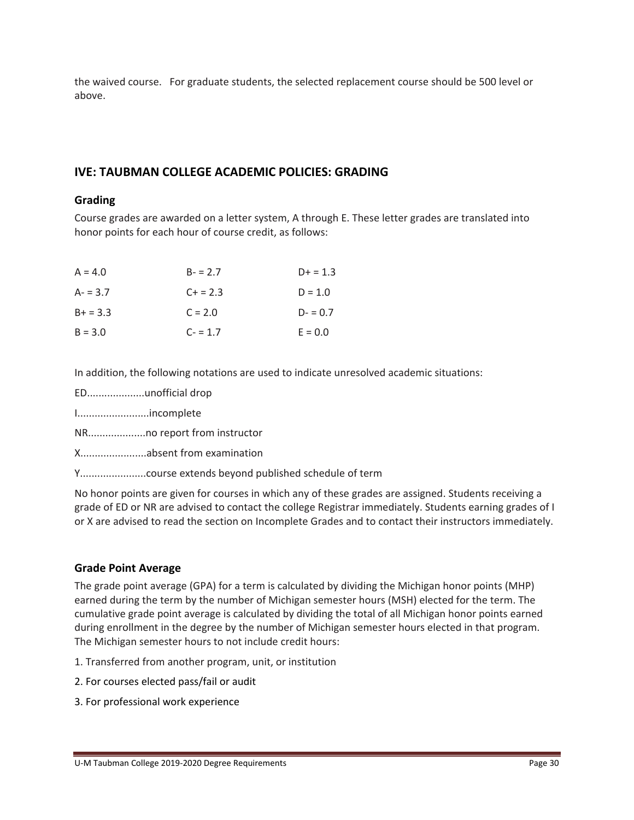the waived course. For graduate students, the selected replacement course should be 500 level or above.

## **IVE: TAUBMAN COLLEGE ACADEMIC POLICIES: GRADING**

#### **Grading**

Course grades are awarded on a letter system, A through E. These letter grades are translated into honor points for each hour of course credit, as follows:

| $A = 4.0$  | $B - 2.7$ | $D+ = 1.3$ |
|------------|-----------|------------|
| $A - 3.7$  | $C + 2.3$ | $D = 1.0$  |
| $B+ = 3.3$ | $C = 2.0$ | $D - 0.7$  |
| $B = 3.0$  | $C = 1.7$ | $E = 0.0$  |

In addition, the following notations are used to indicate unresolved academic situations:

- ED....................unofficial drop
- I.........................incomplete
- NR....................no report from instructor
- X.......................absent from examination
- Y.......................course extends beyond published schedule of term

No honor points are given for courses in which any of these grades are assigned. Students receiving a grade of ED or NR are advised to contact the college Registrar immediately. Students earning grades of I or X are advised to read the section on Incomplete Grades and to contact their instructors immediately.

## **Grade Point Average**

The grade point average (GPA) for a term is calculated by dividing the Michigan honor points (MHP) earned during the term by the number of Michigan semester hours (MSH) elected for the term. The cumulative grade point average is calculated by dividing the total of all Michigan honor points earned during enrollment in the degree by the number of Michigan semester hours elected in that program. The Michigan semester hours to not include credit hours:

- 1. Transferred from another program, unit, or institution
- 2. For courses elected pass/fail or audit
- 3. For professional work experience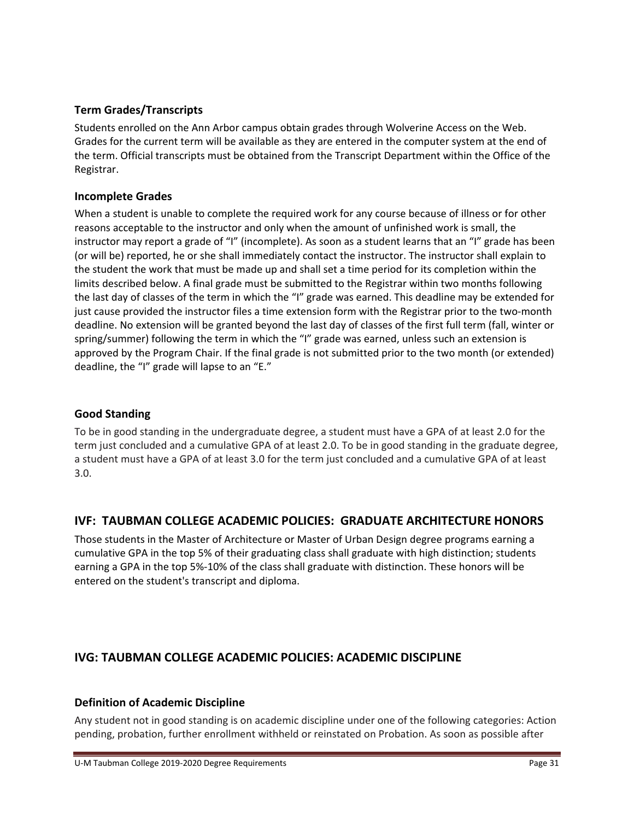## **Term Grades/Transcripts**

Students enrolled on the Ann Arbor campus obtain grades through Wolverine Access on the Web. Grades for the current term will be available as they are entered in the computer system at the end of the term. Official transcripts must be obtained from the Transcript Department within the Office of the Registrar.

## **Incomplete Grades**

When a student is unable to complete the required work for any course because of illness or for other reasons acceptable to the instructor and only when the amount of unfinished work is small, the instructor may report a grade of "I" (incomplete). As soon as a student learns that an "I" grade has been (or will be) reported, he or she shall immediately contact the instructor. The instructor shall explain to the student the work that must be made up and shall set a time period for its completion within the limits described below. A final grade must be submitted to the Registrar within two months following the last day of classes of the term in which the "I" grade was earned. This deadline may be extended for just cause provided the instructor files a time extension form with the Registrar prior to the two‐month deadline. No extension will be granted beyond the last day of classes of the first full term (fall, winter or spring/summer) following the term in which the "I" grade was earned, unless such an extension is approved by the Program Chair. If the final grade is not submitted prior to the two month (or extended) deadline, the "I" grade will lapse to an "E."

## **Good Standing**

To be in good standing in the undergraduate degree, a student must have a GPA of at least 2.0 for the term just concluded and a cumulative GPA of at least 2.0. To be in good standing in the graduate degree, a student must have a GPA of at least 3.0 for the term just concluded and a cumulative GPA of at least 3.0.

## **IVF: TAUBMAN COLLEGE ACADEMIC POLICIES: GRADUATE ARCHITECTURE HONORS**

Those students in the Master of Architecture or Master of Urban Design degree programs earning a cumulative GPA in the top 5% of their graduating class shall graduate with high distinction; students earning a GPA in the top 5%‐10% of the class shall graduate with distinction. These honors will be entered on the student's transcript and diploma.

## **IVG: TAUBMAN COLLEGE ACADEMIC POLICIES: ACADEMIC DISCIPLINE**

## **Definition of Academic Discipline**

Any student not in good standing is on academic discipline under one of the following categories: Action pending, probation, further enrollment withheld or reinstated on Probation. As soon as possible after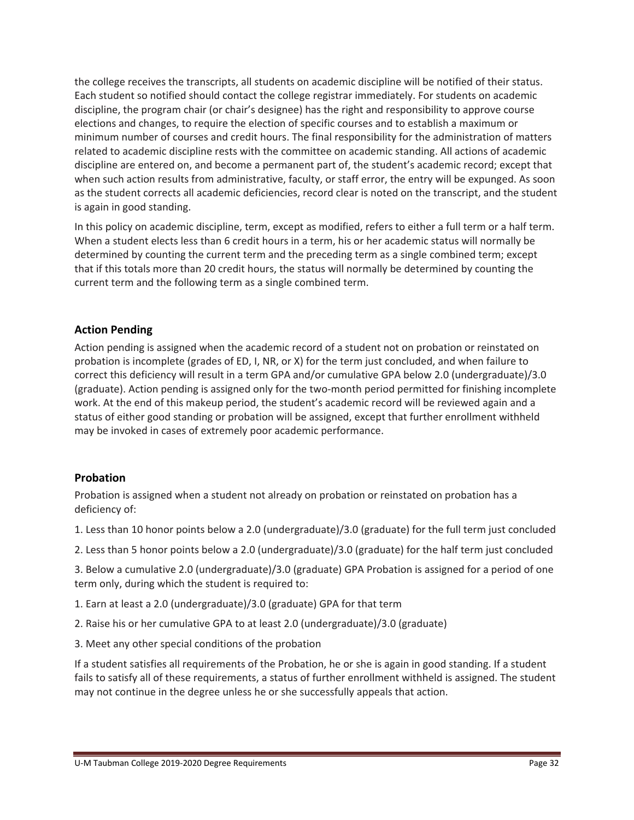the college receives the transcripts, all students on academic discipline will be notified of their status. Each student so notified should contact the college registrar immediately. For students on academic discipline, the program chair (or chair's designee) has the right and responsibility to approve course elections and changes, to require the election of specific courses and to establish a maximum or minimum number of courses and credit hours. The final responsibility for the administration of matters related to academic discipline rests with the committee on academic standing. All actions of academic discipline are entered on, and become a permanent part of, the student's academic record; except that when such action results from administrative, faculty, or staff error, the entry will be expunged. As soon as the student corrects all academic deficiencies, record clear is noted on the transcript, and the student is again in good standing.

In this policy on academic discipline, term, except as modified, refers to either a full term or a half term. When a student elects less than 6 credit hours in a term, his or her academic status will normally be determined by counting the current term and the preceding term as a single combined term; except that if this totals more than 20 credit hours, the status will normally be determined by counting the current term and the following term as a single combined term.

## **Action Pending**

Action pending is assigned when the academic record of a student not on probation or reinstated on probation is incomplete (grades of ED, I, NR, or X) for the term just concluded, and when failure to correct this deficiency will result in a term GPA and/or cumulative GPA below 2.0 (undergraduate)/3.0 (graduate). Action pending is assigned only for the two‐month period permitted for finishing incomplete work. At the end of this makeup period, the student's academic record will be reviewed again and a status of either good standing or probation will be assigned, except that further enrollment withheld may be invoked in cases of extremely poor academic performance.

#### **Probation**

Probation is assigned when a student not already on probation or reinstated on probation has a deficiency of:

- 1. Less than 10 honor points below a 2.0 (undergraduate)/3.0 (graduate) for the full term just concluded
- 2. Less than 5 honor points below a 2.0 (undergraduate)/3.0 (graduate) for the half term just concluded

3. Below a cumulative 2.0 (undergraduate)/3.0 (graduate) GPA Probation is assigned for a period of one term only, during which the student is required to:

- 1. Earn at least a 2.0 (undergraduate)/3.0 (graduate) GPA for that term
- 2. Raise his or her cumulative GPA to at least 2.0 (undergraduate)/3.0 (graduate)
- 3. Meet any other special conditions of the probation

If a student satisfies all requirements of the Probation, he or she is again in good standing. If a student fails to satisfy all of these requirements, a status of further enrollment withheld is assigned. The student may not continue in the degree unless he or she successfully appeals that action.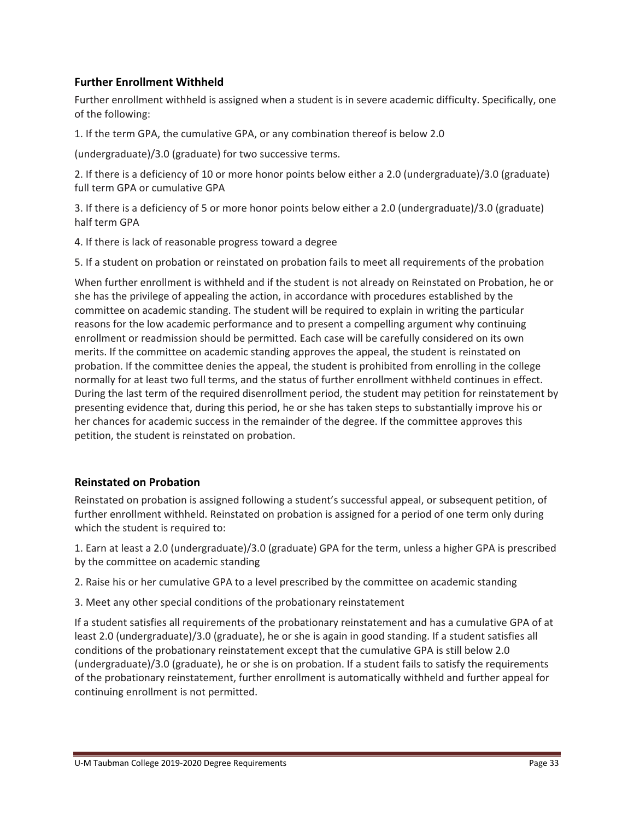## **Further Enrollment Withheld**

Further enrollment withheld is assigned when a student is in severe academic difficulty. Specifically, one of the following:

1. If the term GPA, the cumulative GPA, or any combination thereof is below 2.0

(undergraduate)/3.0 (graduate) for two successive terms.

2. If there is a deficiency of 10 or more honor points below either a 2.0 (undergraduate)/3.0 (graduate) full term GPA or cumulative GPA

3. If there is a deficiency of 5 or more honor points below either a 2.0 (undergraduate)/3.0 (graduate) half term GPA

4. If there is lack of reasonable progress toward a degree

5. If a student on probation or reinstated on probation fails to meet all requirements of the probation

When further enrollment is withheld and if the student is not already on Reinstated on Probation, he or she has the privilege of appealing the action, in accordance with procedures established by the committee on academic standing. The student will be required to explain in writing the particular reasons for the low academic performance and to present a compelling argument why continuing enrollment or readmission should be permitted. Each case will be carefully considered on its own merits. If the committee on academic standing approves the appeal, the student is reinstated on probation. If the committee denies the appeal, the student is prohibited from enrolling in the college normally for at least two full terms, and the status of further enrollment withheld continues in effect. During the last term of the required disenrollment period, the student may petition for reinstatement by presenting evidence that, during this period, he or she has taken steps to substantially improve his or her chances for academic success in the remainder of the degree. If the committee approves this petition, the student is reinstated on probation.

#### **Reinstated on Probation**

Reinstated on probation is assigned following a student's successful appeal, or subsequent petition, of further enrollment withheld. Reinstated on probation is assigned for a period of one term only during which the student is required to:

1. Earn at least a 2.0 (undergraduate)/3.0 (graduate) GPA for the term, unless a higher GPA is prescribed by the committee on academic standing

2. Raise his or her cumulative GPA to a level prescribed by the committee on academic standing

3. Meet any other special conditions of the probationary reinstatement

If a student satisfies all requirements of the probationary reinstatement and has a cumulative GPA of at least 2.0 (undergraduate)/3.0 (graduate), he or she is again in good standing. If a student satisfies all conditions of the probationary reinstatement except that the cumulative GPA is still below 2.0 (undergraduate)/3.0 (graduate), he or she is on probation. If a student fails to satisfy the requirements of the probationary reinstatement, further enrollment is automatically withheld and further appeal for continuing enrollment is not permitted.